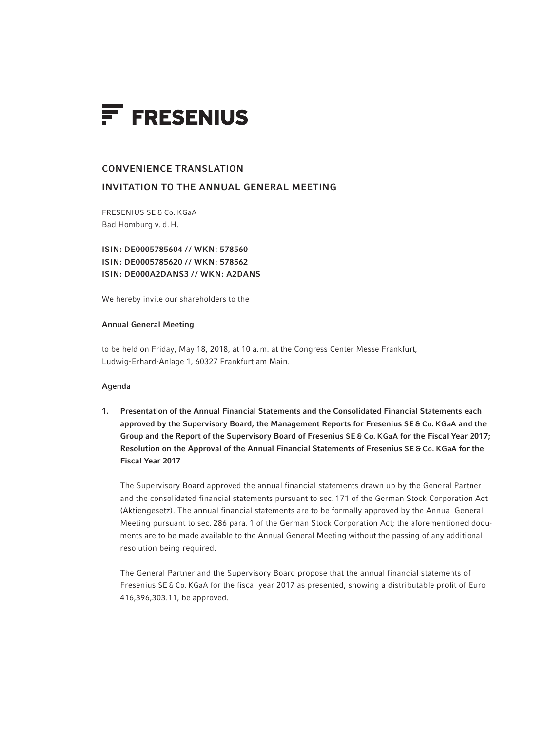

## CONVENIENCE TRANSLATION

# INVITATION TO THE ANNUAL GENERAL MEETING

FRESENIUS SE & Co. KGaA Bad Homburg v. d. H.

ISIN: DE0005785604 / / WKN: 578560 ISIN: DE0005785620 / / WKN: 578562 ISIN: DE000A2DANS3 // WKN: A2DANS

We hereby invite our shareholders to the

### Annual General Meeting

to be held on Friday, May 18, 2018, at 10 a.m. at the Congress Center Messe Frankfurt, Ludwig-Erhard-Anlage 1, 60327 Frankfurt am Main.

## Agenda

1. Presentation of the Annual Financial Statements and the Consolidated Financial Statements each approved by the Supervisory Board, the Management Reports for Fresenius SE & Co. KGaA and the Group and the Report of the Supervisory Board of Fresenius SE & Co. KGaA for the Fiscal Year 2017; Resolution on the Approval of the Annual Financial Statements of Fresenius SE & Co. KGaA for the Fiscal Year 2017

The Supervisory Board approved the annual financial statements drawn up by the General Partner and the consolidated financial statements pursuant to sec. 171 of the German Stock Corporation Act (Aktiengesetz). The annual financial statements are to be formally approved by the Annual General Meeting pursuant to sec. 286 para. 1 of the German Stock Corporation Act; the aforementioned documents are to be made available to the Annual General Meeting without the passing of any additional resolution being required.

The General Partner and the Supervisory Board propose that the annual financial statements of Fresenius SE & Co. KGaA for the fiscal year 2017 as presented, showing a distributable profit of Euro 416,396,303.11, be approved.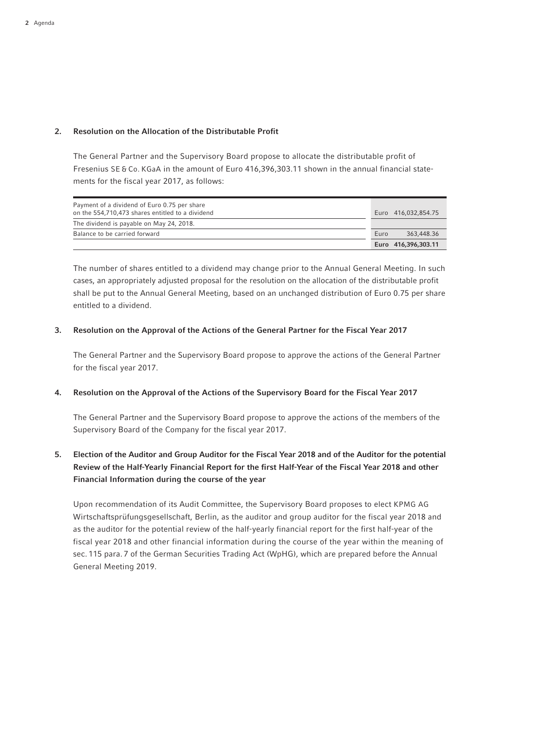## 2. Resolution on the Allocation of the Distributable Profit

The General Partner and the Supervisory Board propose to allocate the distributable profit of Fresenius SE & Co. KGaA in the amount of Euro 416,396,303.11 shown in the annual financial statements for the fiscal year 2017, as follows:

| Payment of a dividend of Euro 0.75 per share<br>on the 554,710,473 shares entitled to a dividend | Euro 416.032.854.75 |
|--------------------------------------------------------------------------------------------------|---------------------|
| The dividend is payable on May 24, 2018.                                                         |                     |
| Balance to be carried forward                                                                    | 363,448.36<br>Euro  |
|                                                                                                  | Euro 416,396,303.11 |

 The number of shares entitled to a dividend may change prior to the Annual General Meeting. In such cases, an appropriately adjusted proposal for the resolution on the allocation of the distributable profit shall be put to the Annual General Meeting, based on an unchanged distribution of Euro 0.75 per share entitled to a dividend.

## 3. Resolution on the Approval of the Actions of the General Partner for the Fiscal Year 2017

 The General Partner and the Supervisory Board propose to approve the actions of the General Partner for the fiscal year 2017.

## 4. Resolution on the Approval of the Actions of the Supervisory Board for the Fiscal Year 2017

 The General Partner and the Supervisory Board propose to approve the actions of the members of the Supervisory Board of the Company for the fiscal year 2017.

# 5. Election of the Auditor and Group Auditor for the Fiscal Year 2018 and of the Auditor for the potential Review of the Half-Yearly Financial Report for the first Half-Year of the Fiscal Year 2018 and other Financial Information during the course of the year

 Upon recommendation of its Audit Committee, the Supervisory Board proposes to elect KPMG AG Wirtschaftsprüfungsgesellschaft, Berlin, as the auditor and group auditor for the fiscal year 2018 and as the auditor for the potential review of the half-yearly financial report for the first half-year of the fiscal year 2018 and other financial information during the course of the year within the meaning of sec. 115 para. 7 of the German Securities Trading Act (WpHG), which are prepared before the Annual General Meeting 2019.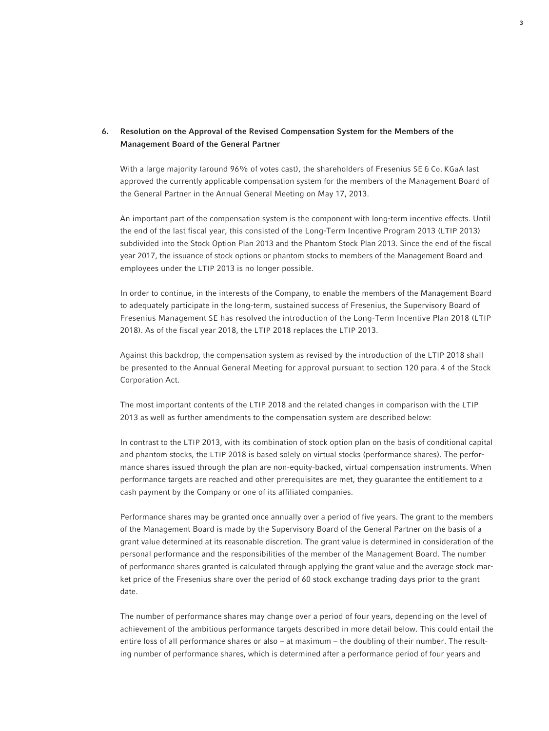# 6. Resolution on the Approval of the Revised Compensation System for the Members of the Management Board of the General Partner

With a large majority (around 96% of votes cast), the shareholders of Fresenius SE & Co. KGaA last approved the currently applicable compensation system for the members of the Management Board of the General Partner in the Annual General Meeting on May 17, 2013.

An important part of the compensation system is the component with long-term incentive effects. Until the end of the last fiscal year, this consisted of the Long-Term Incentive Program 2013 (LTIP 2013) subdivided into the Stock Option Plan 2013 and the Phantom Stock Plan 2013. Since the end of the fiscal year 2017, the issuance of stock options or phantom stocks to members of the Management Board and employees under the LTIP 2013 is no longer possible.

In order to continue, in the interests of the Company, to enable the members of the Management Board to adequately participate in the long-term, sustained success of Fresenius, the Supervisory Board of Fresenius Management SE has resolved the introduction of the Long-Term Incentive Plan 2018 (LTIP 2018). As of the fiscal year 2018, the LTIP 2018 replaces the LTIP 2013.

Against this backdrop, the compensation system as revised by the introduction of the LTIP 2018 shall be presented to the Annual General Meeting for approval pursuant to section 120 para. 4 of the Stock Corporation Act.

The most important contents of the LTIP 2018 and the related changes in comparison with the LTIP 2013 as well as further amendments to the compensation system are described below:

In contrast to the LTIP 2013, with its combination of stock option plan on the basis of conditional capital and phantom stocks, the LTIP 2018 is based solely on virtual stocks (performance shares). The performance shares issued through the plan are non-equity-backed, virtual compensation instruments. When performance targets are reached and other prerequisites are met, they guarantee the entitlement to a cash payment by the Company or one of its affiliated companies.

Performance shares may be granted once annually over a period of five years. The grant to the members of the Management Board is made by the Supervisory Board of the General Partner on the basis of a grant value determined at its reasonable discretion. The grant value is determined in consideration of the personal performance and the responsibilities of the member of the Management Board. The number of performance shares granted is calculated through applying the grant value and the average stock market price of the Fresenius share over the period of 60 stock exchange trading days prior to the grant date.

The number of performance shares may change over a period of four years, depending on the level of achievement of the ambitious performance targets described in more detail below. This could entail the entire loss of all performance shares or also – at maximum – the doubling of their number. The resulting number of performance shares, which is determined after a performance period of four years and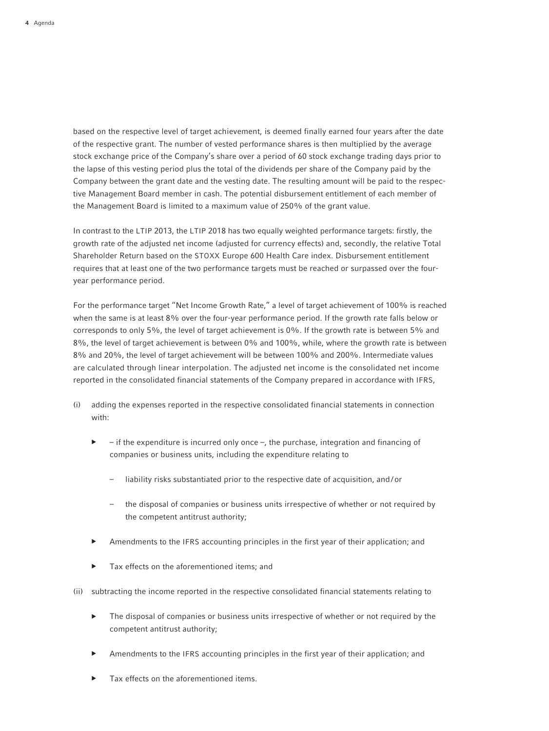based on the respective level of target achievement, is deemed finally earned four years after the date of the respective grant. The number of vested performance shares is then multiplied by the average stock exchange price of the Company's share over a period of 60 stock exchange trading days prior to the lapse of this vesting period plus the total of the dividends per share of the Company paid by the Company between the grant date and the vesting date. The resulting amount will be paid to the respective Management Board member in cash. The potential disbursement entitlement of each member of the Management Board is limited to a maximum value of 250% of the grant value.

In contrast to the LTIP 2013, the LTIP 2018 has two equally weighted performance targets: firstly, the growth rate of the adjusted net income (adjusted for currency effects) and, secondly, the relative Total Shareholder Return based on the STOXX Europe 600 Health Care index. Disbursement entitlement requires that at least one of the two performance targets must be reached or surpassed over the fouryear performance period.

For the performance target "Net Income Growth Rate," a level of target achievement of 100% is reached when the same is at least 8% over the four-year performance period. If the growth rate falls below or corresponds to only 5%, the level of target achievement is 0%. If the growth rate is between 5% and 8%, the level of target achievement is between 0% and 100%, while, where the growth rate is between 8% and 20%, the level of target achievement will be between 100% and 200%. Intermediate values are calculated through linear interpolation. The adjusted net income is the consolidated net income reported in the consolidated financial statements of the Company prepared in accordance with IFRS,

- (i) adding the expenses reported in the respective consolidated financial statements in connection with:
	- $\blacktriangleright$  if the expenditure is incurred only once –, the purchase, integration and financing of companies or business units, including the expenditure relating to
		- liability risks substantiated prior to the respective date of acquisition, and/or
		- the disposal of companies or business units irrespective of whether or not required by the competent antitrust authority;
	- ▶ Amendments to the IFRS accounting principles in the first year of their application; and
	- Tax effects on the aforementioned items; and
- (ii) subtracting the income reported in the respective consolidated financial statements relating to
	- The disposal of companies or business units irrespective of whether or not required by the competent antitrust authority;
	- Amendments to the IFRS accounting principles in the first year of their application; and
	- Tax effects on the aforementioned items.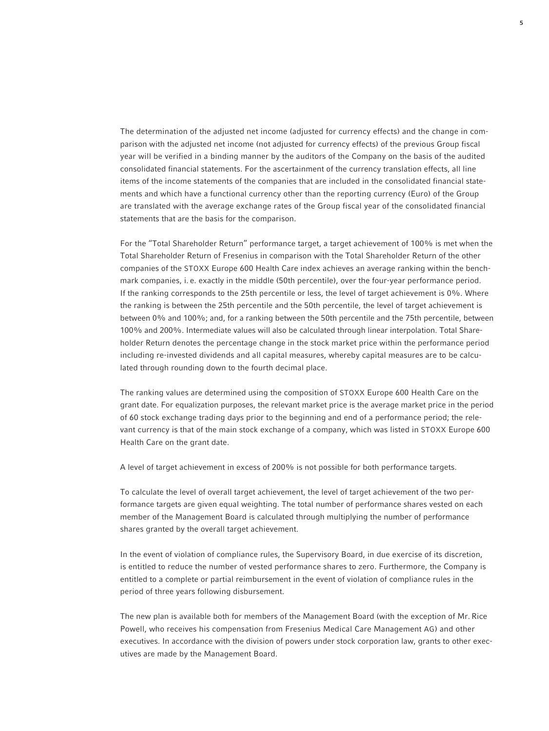The determination of the adjusted net income (adjusted for currency effects) and the change in comparison with the adjusted net income (not adjusted for currency effects) of the previous Group fiscal year will be verified in a binding manner by the auditors of the Company on the basis of the audited consolidated financial statements. For the ascertainment of the currency translation effects, all line items of the income statements of the companies that are included in the consolidated financial statements and which have a functional currency other than the reporting currency (Euro) of the Group are translated with the average exchange rates of the Group fiscal year of the consolidated financial statements that are the basis for the comparison.

 For the "Total Shareholder Return" performance target, a target achievement of 100% is met when the Total Shareholder Return of Fresenius in comparison with the Total Shareholder Return of the other companies of the STOXX Europe 600 Health Care index achieves an average ranking within the benchmark companies, i. e. exactly in the middle (50th percentile), over the four-year performance period. If the ranking corresponds to the 25th percentile or less, the level of target achievement is 0%. Where the ranking is between the 25th percentile and the 50th percentile, the level of target achievement is between 0% and 100%; and, for a ranking between the 50th percentile and the 75th percentile, between 100% and 200%. Intermediate values will also be calculated through linear interpolation. Total Shareholder Return denotes the percentage change in the stock market price within the performance period including re-invested dividends and all capital measures, whereby capital measures are to be calculated through rounding down to the fourth decimal place.

 The ranking values are determined using the composition of STOXX Europe 600 Health Care on the grant date. For equalization purposes, the relevant market price is the average market price in the period of 60 stock exchange trading days prior to the beginning and end of a performance period; the relevant currency is that of the main stock exchange of a company, which was listed in STOXX Europe 600 Health Care on the grant date.

A level of target achievement in excess of 200% is not possible for both performance targets.

 To calculate the level of overall target achievement, the level of target achievement of the two performance targets are given equal weighting. The total number of performance shares vested on each member of the Management Board is calculated through multiplying the number of performance shares granted by the overall target achievement.

 In the event of violation of compliance rules, the Supervisory Board, in due exercise of its discretion, is entitled to reduce the number of vested performance shares to zero. Furthermore, the Company is entitled to a complete or partial reimbursement in the event of violation of compliance rules in the period of three years following disbursement.

 The new plan is available both for members of the Management Board (with the exception of Mr. Rice Powell, who receives his compensation from Fresenius Medical Care Management AG) and other executives. In accordance with the division of powers under stock corporation law, grants to other executives are made by the Management Board.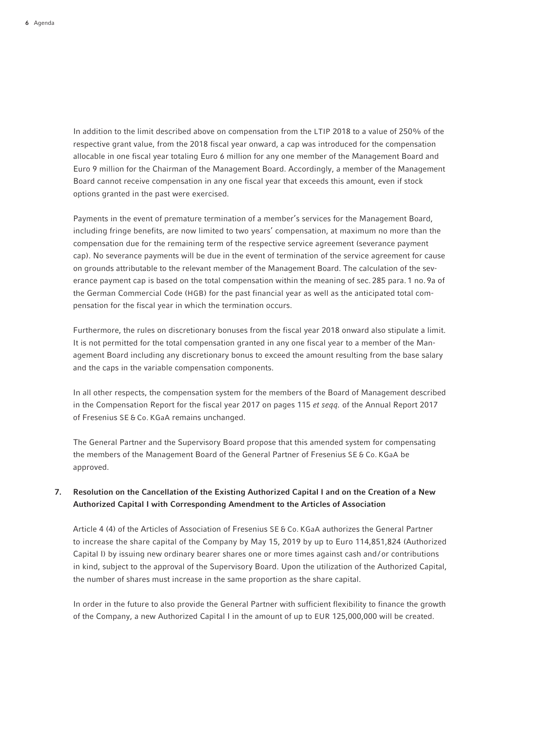In addition to the limit described above on compensation from the LTIP 2018 to a value of 250% of the respective grant value, from the 2018 fiscal year onward, a cap was introduced for the compensation allocable in one fiscal year totaling Euro 6 million for any one member of the Management Board and Euro 9 million for the Chairman of the Management Board. Accordingly, a member of the Management Board cannot receive compensation in any one fiscal year that exceeds this amount, even if stock options granted in the past were exercised.

 Payments in the event of premature termination of a member's services for the Management Board, including fringe benefits, are now limited to two years' compensation, at maximum no more than the compensation due for the remaining term of the respective service agreement (severance payment cap). No severance payments will be due in the event of termination of the service agreement for cause on grounds attributable to the relevant member of the Management Board. The calculation of the severance payment cap is based on the total compensation within the meaning of sec. 285 para. 1 no. 9a of the German Commercial Code (HGB) for the past financial year as well as the anticipated total compensation for the fiscal year in which the termination occurs.

 Furthermore, the rules on discretionary bonuses from the fiscal year 2018 onward also stipulate a limit. It is not permitted for the total compensation granted in any one fiscal year to a member of the Management Board including any discretionary bonus to exceed the amount resulting from the base salary and the caps in the variable compensation components.

 In all other respects, the compensation system for the members of the Board of Management described in the Compensation Report for the fiscal year 2017 on pages 115 *et seqq.* of the Annual Report 2017 of Fresenius SE & Co. KGaA remains unchanged.

 The General Partner and the Supervisory Board propose that this amended system for compensating the members of the Management Board of the General Partner of Fresenius SE & Co. KGaA be approved.

# 7. Resolution on the Cancellation of the Existing Authorized Capital I and on the Creation of a New Authorized Capital I with Corresponding Amendment to the Articles of Association

 Article 4 (4) of the Articles of Association of Fresenius SE & Co. KGaA authorizes the General Partner to increase the share capital of the Company by May 15, 2019 by up to Euro 114,851,824 (Authorized Capital I) by issuing new ordinary bearer shares one or more times against cash and/or contributions in kind, subject to the approval of the Supervisory Board. Upon the utilization of the Authorized Capital, the number of shares must increase in the same proportion as the share capital.

 In order in the future to also provide the General Partner with sufficient flexibility to finance the growth of the Company, a new Authorized Capital I in the amount of up to EUR 125,000,000 will be created.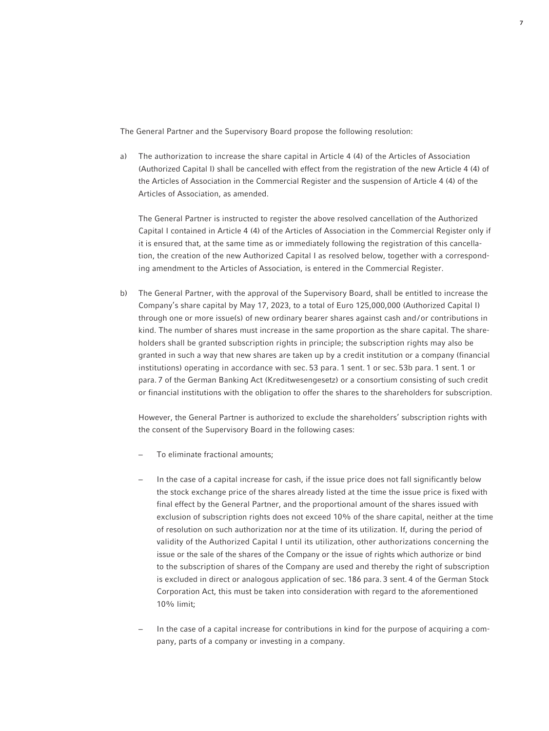The General Partner and the Supervisory Board propose the following resolution:

a) The authorization to increase the share capital in Article 4 (4) of the Articles of Association (Authorized Capital I) shall be cancelled with effect from the registration of the new Article 4 (4) of the Articles of Association in the Commercial Register and the suspension of Article 4 (4) of the Articles of Association, as amended.

 The General Partner is instructed to register the above resolved cancellation of the Authorized Capital I contained in Article 4 (4) of the Articles of Association in the Commercial Register only if it is ensured that, at the same time as or immediately following the registration of this cancellation, the creation of the new Authorized Capital I as resolved below, together with a corresponding amendment to the Articles of Association, is entered in the Commercial Register.

b) The General Partner, with the approval of the Supervisory Board, shall be entitled to increase the Company's share capital by May 17, 2023, to a total of Euro 125,000,000 (Authorized Capital I) through one or more issue(s) of new ordinary bearer shares against cash and/or contributions in kind. The number of shares must increase in the same proportion as the share capital. The shareholders shall be granted subscription rights in principle; the subscription rights may also be granted in such a way that new shares are taken up by a credit institution or a company (financial institutions) operating in accordance with sec. 53 para. 1 sent. 1 or sec. 53b para. 1 sent. 1 or para. 7 of the German Banking Act (Kreditwesengesetz) or a consortium consisting of such credit or financial institutions with the obligation to offer the shares to the shareholders for subscription.

 However, the General Partner is authorized to exclude the shareholders' subscription rights with the consent of the Supervisory Board in the following cases:

- To eliminate fractional amounts;
- In the case of a capital increase for cash, if the issue price does not fall significantly below the stock exchange price of the shares already listed at the time the issue price is fixed with final effect by the General Partner, and the proportional amount of the shares issued with exclusion of subscription rights does not exceed 10% of the share capital, neither at the time of resolution on such authorization nor at the time of its utilization. If, during the period of validity of the Authorized Capital I until its utilization, other authorizations concerning the issue or the sale of the shares of the Company or the issue of rights which authorize or bind to the subscription of shares of the Company are used and thereby the right of subscription is excluded in direct or analogous application of sec. 186 para. 3 sent. 4 of the German Stock Corporation Act, this must be taken into consideration with regard to the aforementioned 10% limit;
- − In the case of a capital increase for contributions in kind for the purpose of acquiring a company, parts of a company or investing in a company.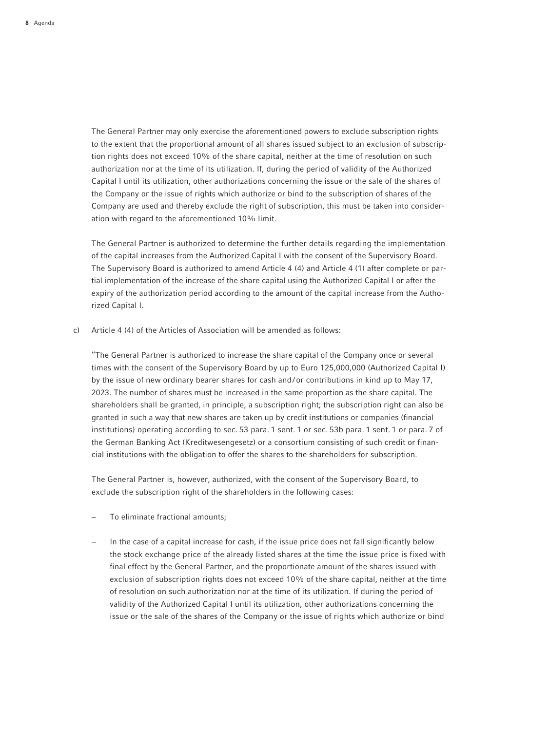The General Partner may only exercise the aforementioned powers to exclude subscription rights to the extent that the proportional amount of all shares issued subject to an exclusion of subscription rights does not exceed 10% of the share capital, neither at the time of resolution on such authorization nor at the time of its utilization. If, during the period of validity of the Authorized Capital I until its utilization, other authorizations concerning the issue or the sale of the shares of the Company or the issue of rights which authorize or bind to the subscription of shares of the Company are used and thereby exclude the right of subscription, this must be taken into consideration with regard to the aforementioned 10% limit.

 The General Partner is authorized to determine the further details regarding the implementation of the capital increases from the Authorized Capital I with the consent of the Supervisory Board. The Supervisory Board is authorized to amend Article 4 (4) and Article 4 (1) after complete or partial implementation of the increase of the share capital using the Authorized Capital I or after the expiry of the authorization period according to the amount of the capital increase from the Authorized Capital I.

c) Article 4 (4) of the Articles of Association will be amended as follows:

 "The General Partner is authorized to increase the share capital of the Company once or several times with the consent of the Supervisory Board by up to Euro 125,000,000 (Authorized Capital I) by the issue of new ordinary bearer shares for cash and/or contributions in kind up to May 17, 2023. The number of shares must be increased in the same proportion as the share capital. The shareholders shall be granted, in principle, a subscription right; the subscription right can also be granted in such a way that new shares are taken up by credit institutions or companies (financial institutions) operating according to sec. 53 para. 1 sent. 1 or sec. 53b para. 1 sent. 1 or para. 7 of the German Banking Act (Kreditwesengesetz) or a consortium consisting of such credit or financial institutions with the obligation to offer the shares to the shareholders for subscription.

 The General Partner is, however, authorized, with the consent of the Supervisory Board, to exclude the subscription right of the shareholders in the following cases:

- − To eliminate fractional amounts;
- In the case of a capital increase for cash, if the issue price does not fall significantly below the stock exchange price of the already listed shares at the time the issue price is fixed with final effect by the General Partner, and the proportionate amount of the shares issued with exclusion of subscription rights does not exceed 10% of the share capital, neither at the time of resolution on such authorization nor at the time of its utilization. If during the period of validity of the Authorized Capital I until its utilization, other authorizations concerning the issue or the sale of the shares of the Company or the issue of rights which authorize or bind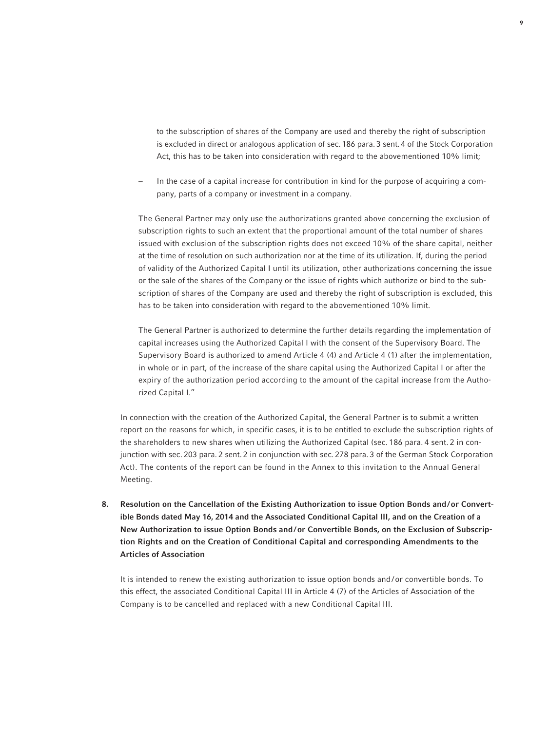to the subscription of shares of the Company are used and thereby the right of subscription is excluded in direct or analogous application of sec. 186 para. 3 sent. 4 of the Stock Corporation Act, this has to be taken into consideration with regard to the abovementioned 10% limit;

 − In the case of a capital increase for contribution in kind for the purpose of acquiring a company, parts of a company or investment in a company.

 The General Partner may only use the authorizations granted above concerning the exclusion of subscription rights to such an extent that the proportional amount of the total number of shares issued with exclusion of the subscription rights does not exceed 10% of the share capital, neither at the time of resolution on such authorization nor at the time of its utilization. If, during the period of validity of the Authorized Capital I until its utilization, other authorizations concerning the issue or the sale of the shares of the Company or the issue of rights which authorize or bind to the subscription of shares of the Company are used and thereby the right of subscription is excluded, this has to be taken into consideration with regard to the abovementioned 10% limit.

 The General Partner is authorized to determine the further details regarding the implementation of capital increases using the Authorized Capital I with the consent of the Supervisory Board. The Supervisory Board is authorized to amend Article 4 (4) and Article 4 (1) after the implementation, in whole or in part, of the increase of the share capital using the Authorized Capital I or after the expiry of the authorization period according to the amount of the capital increase from the Authorized Capital I."

 In connection with the creation of the Authorized Capital, the General Partner is to submit a written report on the reasons for which, in specific cases, it is to be entitled to exclude the subscription rights of the shareholders to new shares when utilizing the Authorized Capital (sec. 186 para. 4 sent. 2 in conjunction with sec. 203 para. 2 sent. 2 in conjunction with sec. 278 para. 3 of the German Stock Corporation Act). The contents of the report can be found in the Annex to this invitation to the Annual General Meeting.

8. Resolution on the Cancellation of the Existing Authorization to issue Option Bonds and/or Convertible Bonds dated May 16, 2014 and the Associated Conditional Capital III, and on the Creation of a New Authorization to issue Option Bonds and/or Convertible Bonds, on the Exclusion of Subscription Rights and on the Creation of Conditional Capital and corresponding Amendments to the Articles of Association

 It is intended to renew the existing authorization to issue option bonds and/or convertible bonds. To this effect, the associated Conditional Capital III in Article 4 (7) of the Articles of Association of the Company is to be cancelled and replaced with a new Conditional Capital III.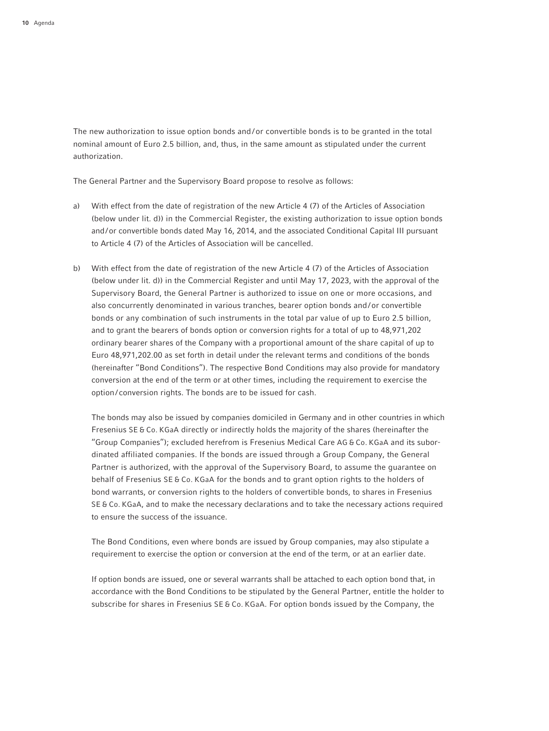The new authorization to issue option bonds and/or convertible bonds is to be granted in the total nominal amount of Euro 2.5 billion, and, thus, in the same amount as stipulated under the current authorization.

The General Partner and the Supervisory Board propose to resolve as follows:

- a) With effect from the date of registration of the new Article 4 (7) of the Articles of Association (below under lit. d)) in the Commercial Register, the existing authorization to issue option bonds and/or convertible bonds dated May 16, 2014, and the associated Conditional Capital III pursuant to Article 4 (7) of the Articles of Association will be cancelled.
- b) With effect from the date of registration of the new Article 4 (7) of the Articles of Association (below under lit. d)) in the Commercial Register and until May 17, 2023, with the approval of the Supervisory Board, the General Partner is authorized to issue on one or more occasions, and also concurrently denominated in various tranches, bearer option bonds and/or convertible bonds or any combination of such instruments in the total par value of up to Euro 2.5 billion, and to grant the bearers of bonds option or conversion rights for a total of up to 48,971,202 ordinary bearer shares of the Company with a proportional amount of the share capital of up to Euro 48,971,202.00 as set forth in detail under the relevant terms and conditions of the bonds (hereinafter "Bond Conditions"). The respective Bond Conditions may also provide for mandatory conversion at the end of the term or at other times, including the requirement to exercise the option/ conversion rights. The bonds are to be issued for cash.

 The bonds may also be issued by companies domiciled in Germany and in other countries in which Fresenius SE & Co. KGaA directly or indirectly holds the majority of the shares (hereinafter the "Group Companies"); excluded herefrom is Fresenius Medical Care AG & Co. KGaA and its subordinated affiliated companies. If the bonds are issued through a Group Company, the General Partner is authorized, with the approval of the Supervisory Board, to assume the guarantee on behalf of Fresenius SE & Co. KGaA for the bonds and to grant option rights to the holders of bond warrants, or conversion rights to the holders of convertible bonds, to shares in Fresenius SE & Co. KGaA, and to make the necessary declarations and to take the necessary actions required to ensure the success of the issuance.

 The Bond Conditions, even where bonds are issued by Group companies, may also stipulate a requirement to exercise the option or conversion at the end of the term, or at an earlier date.

 If option bonds are issued, one or several warrants shall be attached to each option bond that, in accordance with the Bond Conditions to be stipulated by the General Partner, entitle the holder to subscribe for shares in Fresenius SE & Co. KGaA. For option bonds issued by the Company, the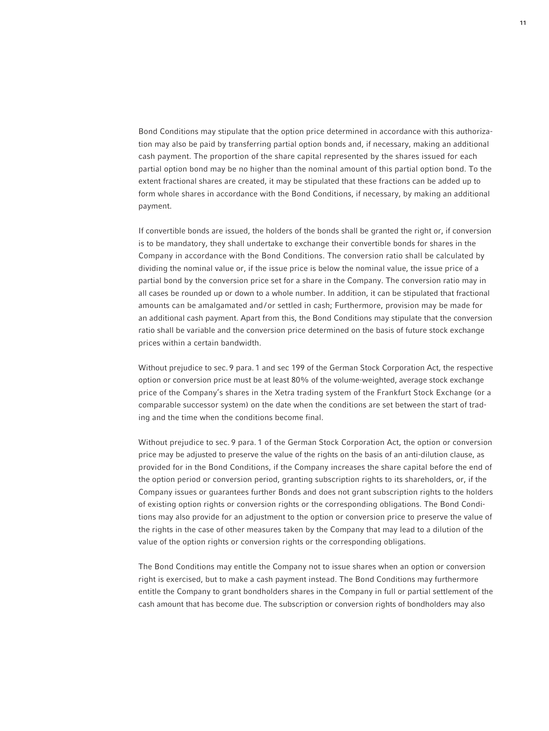Bond Conditions may stipulate that the option price determined in accordance with this authorization may also be paid by transferring partial option bonds and, if necessary, making an additional cash payment. The proportion of the share capital represented by the shares issued for each partial option bond may be no higher than the nominal amount of this partial option bond. To the extent fractional shares are created, it may be stipulated that these fractions can be added up to form whole shares in accordance with the Bond Conditions, if necessary, by making an additional payment.

 If convertible bonds are issued, the holders of the bonds shall be granted the right or, if conversion is to be mandatory, they shall undertake to exchange their convertible bonds for shares in the Company in accordance with the Bond Conditions. The conversion ratio shall be calculated by dividing the nominal value or, if the issue price is below the nominal value, the issue price of a partial bond by the conversion price set for a share in the Company. The conversion ratio may in all cases be rounded up or down to a whole number. In addition, it can be stipulated that fractional amounts can be amalgamated and/or settled in cash; Furthermore, provision may be made for an additional cash payment. Apart from this, the Bond Conditions may stipulate that the conversion ratio shall be variable and the conversion price determined on the basis of future stock exchange prices within a certain bandwidth.

 Without prejudice to sec. 9 para. 1 and sec 199 of the German Stock Corporation Act, the respective option or conversion price must be at least 80% of the volume-weighted, average stock exchange price of the Company's shares in the Xetra trading system of the Frankfurt Stock Exchange (or a comparable successor system) on the date when the conditions are set between the start of trading and the time when the conditions become final.

 Without prejudice to sec. 9 para. 1 of the German Stock Corporation Act, the option or conversion price may be adjusted to preserve the value of the rights on the basis of an anti-dilution clause, as provided for in the Bond Conditions, if the Company increases the share capital before the end of the option period or conversion period, granting subscription rights to its shareholders, or, if the Company issues or guarantees further Bonds and does not grant subscription rights to the holders of existing option rights or conversion rights or the corresponding obligations. The Bond Conditions may also provide for an adjustment to the option or conversion price to preserve the value of the rights in the case of other measures taken by the Company that may lead to a dilution of the value of the option rights or conversion rights or the corresponding obligations.

 The Bond Conditions may entitle the Company not to issue shares when an option or conversion right is exercised, but to make a cash payment instead. The Bond Conditions may furthermore entitle the Company to grant bondholders shares in the Company in full or partial settlement of the cash amount that has become due. The subscription or conversion rights of bondholders may also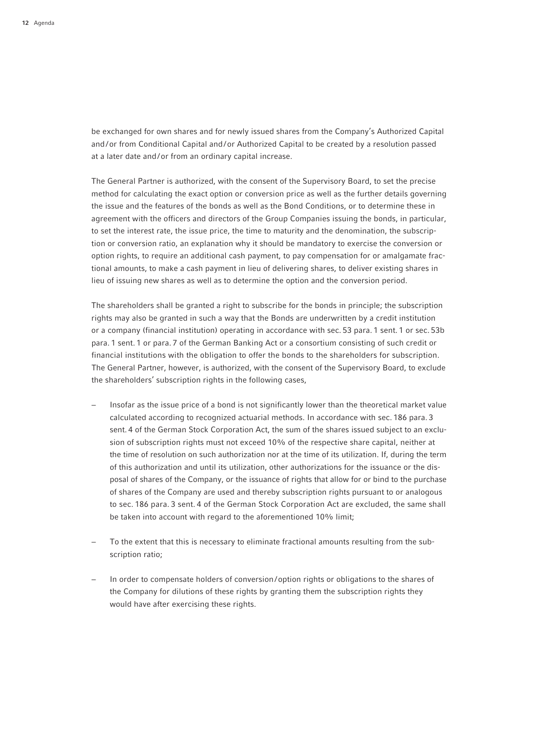be exchanged for own shares and for newly issued shares from the Company's Authorized Capital and/or from Conditional Capital and/or Authorized Capital to be created by a resolution passed at a later date and/or from an ordinary capital increase.

 The General Partner is authorized, with the consent of the Supervisory Board, to set the precise method for calculating the exact option or conversion price as well as the further details governing the issue and the features of the bonds as well as the Bond Conditions, or to determine these in agreement with the officers and directors of the Group Companies issuing the bonds, in particular, to set the interest rate, the issue price, the time to maturity and the denomination, the subscription or conversion ratio, an explanation why it should be mandatory to exercise the conversion or option rights, to require an additional cash payment, to pay compensation for or amalgamate fractional amounts, to make a cash payment in lieu of delivering shares, to deliver existing shares in lieu of issuing new shares as well as to determine the option and the conversion period.

 The shareholders shall be granted a right to subscribe for the bonds in principle; the subscription rights may also be granted in such a way that the Bonds are underwritten by a credit institution or a company (financial institution) operating in accordance with sec. 53 para. 1 sent. 1 or sec. 53b para. 1 sent. 1 or para. 7 of the German Banking Act or a consortium consisting of such credit or financial institutions with the obligation to offer the bonds to the shareholders for subscription. The General Partner, however, is authorized, with the consent of the Supervisory Board, to exclude the shareholders' subscription rights in the following cases,

- Insofar as the issue price of a bond is not significantly lower than the theoretical market value calculated according to recognized actuarial methods. In accordance with sec. 186 para. 3 sent. 4 of the German Stock Corporation Act, the sum of the shares issued subject to an exclusion of subscription rights must not exceed 10% of the respective share capital, neither at the time of resolution on such authorization nor at the time of its utilization. If, during the term of this authorization and until its utilization, other authorizations for the issuance or the disposal of shares of the Company, or the issuance of rights that allow for or bind to the purchase of shares of the Company are used and thereby subscription rights pursuant to or analogous to sec. 186 para. 3 sent. 4 of the German Stock Corporation Act are excluded, the same shall be taken into account with regard to the aforementioned 10% limit;
- To the extent that this is necessary to eliminate fractional amounts resulting from the subscription ratio;
- In order to compensate holders of conversion/option rights or obligations to the shares of the Company for dilutions of these rights by granting them the subscription rights they would have after exercising these rights.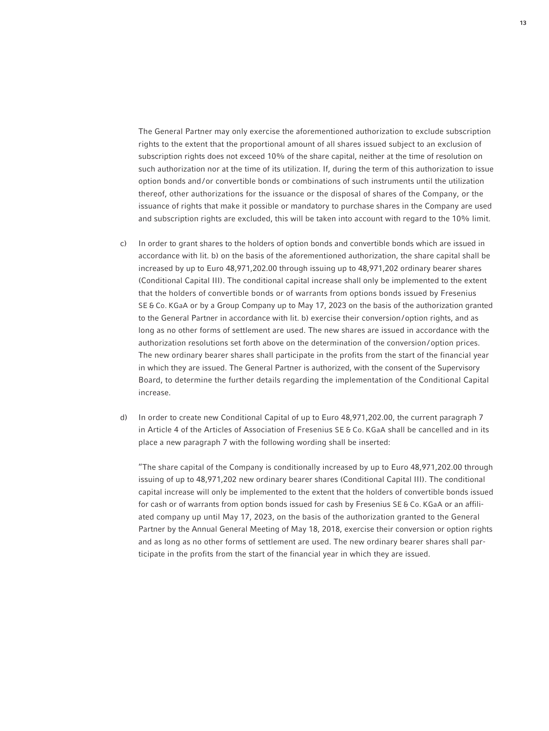The General Partner may only exercise the aforementioned authorization to exclude subscription rights to the extent that the proportional amount of all shares issued subject to an exclusion of subscription rights does not exceed 10% of the share capital, neither at the time of resolution on such authorization nor at the time of its utilization. If, during the term of this authorization to issue option bonds and/or convertible bonds or combinations of such instruments until the utilization thereof, other authorizations for the issuance or the disposal of shares of the Company, or the issuance of rights that make it possible or mandatory to purchase shares in the Company are used and subscription rights are excluded, this will be taken into account with regard to the 10% limit.

- c) In order to grant shares to the holders of option bonds and convertible bonds which are issued in accordance with lit. b) on the basis of the aforementioned authorization, the share capital shall be increased by up to Euro 48,971,202.00 through issuing up to 48,971,202 ordinary bearer shares (Conditional Capital III). The conditional capital increase shall only be implemented to the extent that the holders of convertible bonds or of warrants from options bonds issued by Fresenius SE & Co. KGaA or by a Group Company up to May 17, 2023 on the basis of the authorization granted to the General Partner in accordance with lit. b) exercise their conversion/option rights, and as long as no other forms of settlement are used. The new shares are issued in accordance with the authorization resolutions set forth above on the determination of the conversion/option prices. The new ordinary bearer shares shall participate in the profits from the start of the financial year in which they are issued. The General Partner is authorized, with the consent of the Supervisory Board, to determine the further details regarding the implementation of the Conditional Capital increase.
- d) In order to create new Conditional Capital of up to Euro 48,971,202.00, the current paragraph 7 in Article 4 of the Articles of Association of Fresenius SE & Co. KGaA shall be cancelled and in its place a new paragraph 7 with the following wording shall be inserted:

 "The share capital of the Company is conditionally increased by up to Euro 48,971,202.00 through issuing of up to 48,971,202 new ordinary bearer shares (Conditional Capital III). The conditional capital increase will only be implemented to the extent that the holders of convertible bonds issued for cash or of warrants from option bonds issued for cash by Fresenius SE & Co. KGaA or an affiliated company up until May 17, 2023, on the basis of the authorization granted to the General Partner by the Annual General Meeting of May 18, 2018, exercise their conversion or option rights and as long as no other forms of settlement are used. The new ordinary bearer shares shall participate in the profits from the start of the financial year in which they are issued.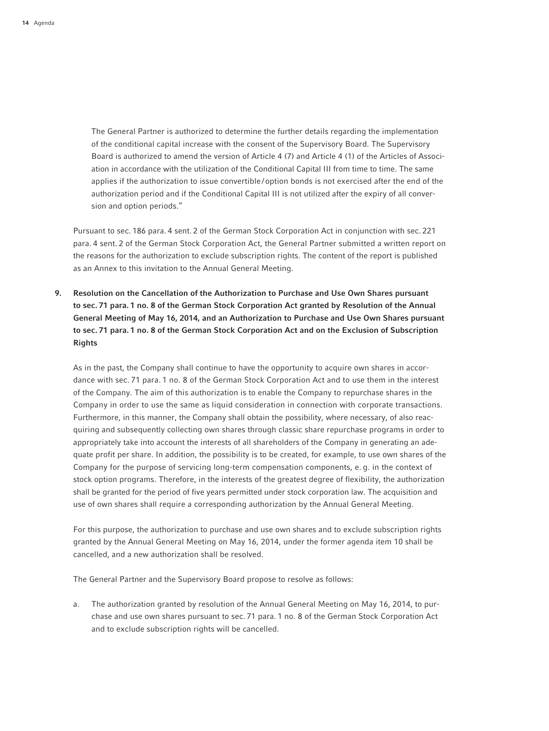The General Partner is authorized to determine the further details regarding the implementation of the conditional capital increase with the consent of the Supervisory Board. The Supervisory Board is authorized to amend the version of Article 4 (7) and Article 4 (1) of the Articles of Association in accordance with the utilization of the Conditional Capital III from time to time. The same applies if the authorization to issue convertible/option bonds is not exercised after the end of the authorization period and if the Conditional Capital III is not utilized after the expiry of all conversion and option periods."

 Pursuant to sec. 186 para. 4 sent. 2 of the German Stock Corporation Act in conjunction with sec. 221 para. 4 sent. 2 of the German Stock Corporation Act, the General Partner submitted a written report on the reasons for the authorization to exclude subscription rights. The content of the report is published as an Annex to this invitation to the Annual General Meeting.

9. Resolution on the Cancellation of the Authorization to Purchase and Use Own Shares pursuant to sec. 71 para. 1 no. 8 of the German Stock Corporation Act granted by Resolution of the Annual General Meeting of May 16, 2014, and an Authorization to Purchase and Use Own Shares pursuant to sec. 71 para. 1 no. 8 of the German Stock Corporation Act and on the Exclusion of Subscription Rights

 As in the past, the Company shall continue to have the opportunity to acquire own shares in accordance with sec. 71 para. 1 no. 8 of the German Stock Corporation Act and to use them in the interest of the Company. The aim of this authorization is to enable the Company to repurchase shares in the Company in order to use the same as liquid consideration in connection with corporate transactions. Furthermore, in this manner, the Company shall obtain the possibility, where necessary, of also reacquiring and subsequently collecting own shares through classic share repurchase programs in order to appropriately take into account the interests of all shareholders of the Company in generating an adequate profit per share. In addition, the possibility is to be created, for example, to use own shares of the Company for the purpose of servicing long-term compensation components, e. g. in the context of stock option programs. Therefore, in the interests of the greatest degree of flexibility, the authorization shall be granted for the period of five years permitted under stock corporation law. The acquisition and use of own shares shall require a corresponding authorization by the Annual General Meeting.

 For this purpose, the authorization to purchase and use own shares and to exclude subscription rights granted by the Annual General Meeting on May 16, 2014, under the former agenda item 10 shall be cancelled, and a new authorization shall be resolved.

The General Partner and the Supervisory Board propose to resolve as follows:

a. The authorization granted by resolution of the Annual General Meeting on May 16, 2014, to purchase and use own shares pursuant to sec. 71 para. 1 no. 8 of the German Stock Corporation Act and to exclude subscription rights will be cancelled.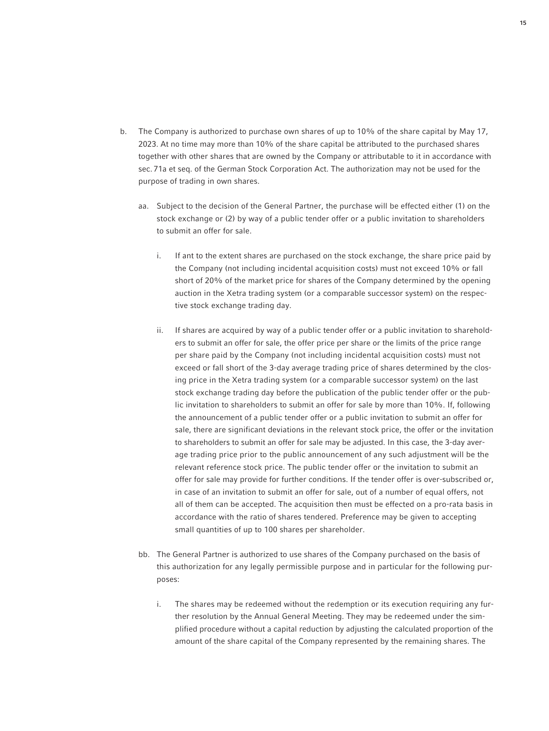- b. The Company is authorized to purchase own shares of up to 10% of the share capital by May 17, 2023. At no time may more than 10% of the share capital be attributed to the purchased shares together with other shares that are owned by the Company or attributable to it in accordance with sec. 71a et seq. of the German Stock Corporation Act. The authorization may not be used for the purpose of trading in own shares.
	- aa. Subject to the decision of the General Partner, the purchase will be effected either (1) on the stock exchange or (2) by way of a public tender offer or a public invitation to shareholders to submit an offer for sale.
		- i. If ant to the extent shares are purchased on the stock exchange, the share price paid by the Company (not including incidental acquisition costs) must not exceed 10% or fall short of 20% of the market price for shares of the Company determined by the opening auction in the Xetra trading system (or a comparable successor system) on the respective stock exchange trading day.
		- ii. If shares are acquired by way of a public tender offer or a public invitation to shareholders to submit an offer for sale, the offer price per share or the limits of the price range per share paid by the Company (not including incidental acquisition costs) must not exceed or fall short of the 3-day average trading price of shares determined by the closing price in the Xetra trading system (or a comparable successor system) on the last stock exchange trading day before the publication of the public tender offer or the public invitation to shareholders to submit an offer for sale by more than 10%. If, following the announcement of a public tender offer or a public invitation to submit an offer for sale, there are significant deviations in the relevant stock price, the offer or the invitation to shareholders to submit an offer for sale may be adjusted. In this case, the 3-day average trading price prior to the public announcement of any such adjustment will be the relevant reference stock price. The public tender offer or the invitation to submit an offer for sale may provide for further conditions. If the tender offer is over-subscribed or, in case of an invitation to submit an offer for sale, out of a number of equal offers, not all of them can be accepted. The acquisition then must be effected on a pro-rata basis in accordance with the ratio of shares tendered. Preference may be given to accepting small quantities of up to 100 shares per shareholder.
	- bb. The General Partner is authorized to use shares of the Company purchased on the basis of this authorization for any legally permissible purpose and in particular for the following purposes:
		- i. The shares may be redeemed without the redemption or its execution requiring any further resolution by the Annual General Meeting. They may be redeemed under the simplified procedure without a capital reduction by adjusting the calculated proportion of the amount of the share capital of the Company represented by the remaining shares. The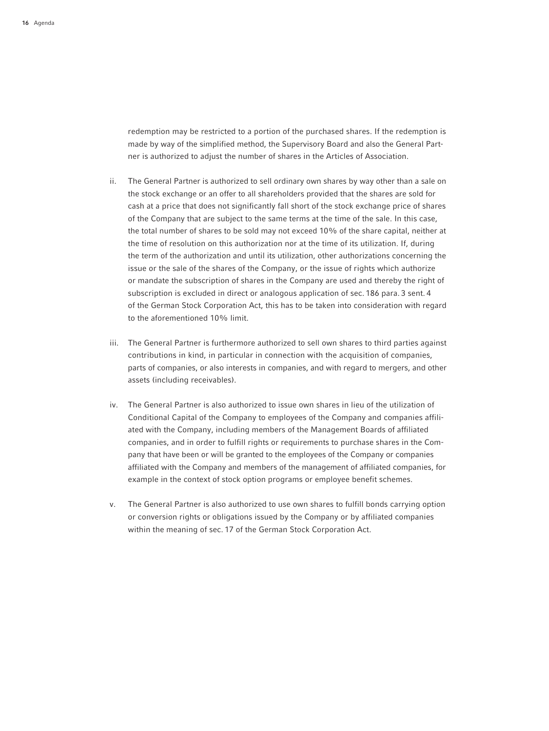redemption may be restricted to a portion of the purchased shares. If the redemption is made by way of the simplified method, the Supervisory Board and also the General Partner is authorized to adjust the number of shares in the Articles of Association.

- ii. The General Partner is authorized to sell ordinary own shares by way other than a sale on the stock exchange or an offer to all shareholders provided that the shares are sold for cash at a price that does not significantly fall short of the stock exchange price of shares of the Company that are subject to the same terms at the time of the sale. In this case, the total number of shares to be sold may not exceed 10% of the share capital, neither at the time of resolution on this authorization nor at the time of its utilization. If, during the term of the authorization and until its utilization, other authorizations concerning the issue or the sale of the shares of the Company, or the issue of rights which authorize or mandate the subscription of shares in the Company are used and thereby the right of subscription is excluded in direct or analogous application of sec. 186 para. 3 sent. 4 of the German Stock Corporation Act, this has to be taken into consideration with regard to the aforementioned 10% limit.
- iii. The General Partner is furthermore authorized to sell own shares to third parties against contributions in kind, in particular in connection with the acquisition of companies, parts of companies, or also interests in companies, and with regard to mergers, and other assets (including receivables).
- iv. The General Partner is also authorized to issue own shares in lieu of the utilization of Conditional Capital of the Company to employees of the Company and companies affiliated with the Company, including members of the Management Boards of affiliated companies, and in order to fulfill rights or requirements to purchase shares in the Company that have been or will be granted to the employees of the Company or companies affiliated with the Company and members of the management of affiliated companies, for example in the context of stock option programs or employee benefit schemes.
- v. The General Partner is also authorized to use own shares to fulfill bonds carrying option or conversion rights or obligations issued by the Company or by affiliated companies within the meaning of sec. 17 of the German Stock Corporation Act.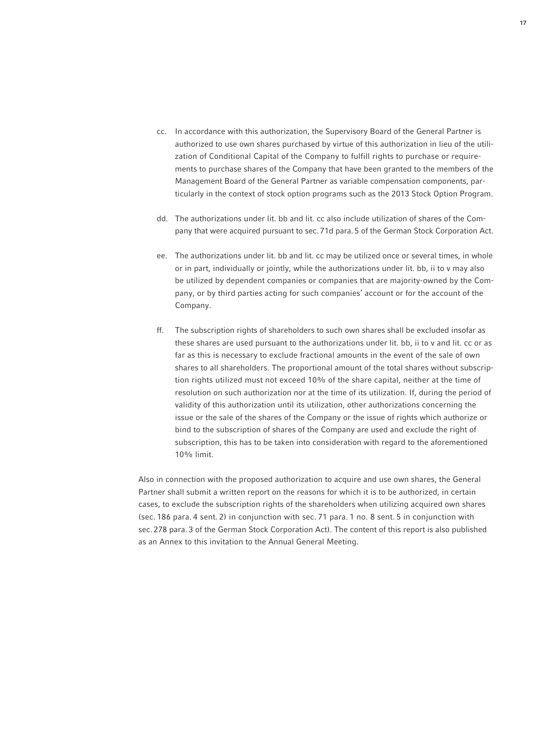- cc. In accordance with this authorization, the Supervisory Board of the General Partner is authorized to use own shares purchased by virtue of this authorization in lieu of the utilization of Conditional Capital of the Company to fulfill rights to purchase or requirements to purchase shares of the Company that have been granted to the members of the Management Board of the General Partner as variable compensation components, particularly in the context of stock option programs such as the 2013 Stock Option Program.
- dd. The authorizations under lit. bb and lit. cc also include utilization of shares of the Company that were acquired pursuant to sec. 71d para. 5 of the German Stock Corporation Act.
- ee. The authorizations under lit. bb and lit. cc may be utilized once or several times, in whole or in part, individually or jointly, while the authorizations under lit. bb, ii to v may also be utilized by dependent companies or companies that are majority-owned by the Company, or by third parties acting for such companies' account or for the account of the Company.
- ff. The subscription rights of shareholders to such own shares shall be excluded insofar as these shares are used pursuant to the authorizations under lit. bb, ii to v and lit. cc or as far as this is necessary to exclude fractional amounts in the event of the sale of own shares to all shareholders. The proportional amount of the total shares without subscription rights utilized must not exceed 10% of the share capital, neither at the time of resolution on such authorization nor at the time of its utilization. If, during the period of validity of this authorization until its utilization, other authorizations concerning the issue or the sale of the shares of the Company or the issue of rights which authorize or bind to the subscription of shares of the Company are used and exclude the right of subscription, this has to be taken into consideration with regard to the aforementioned 10% limit.

 Also in connection with the proposed authorization to acquire and use own shares, the General Partner shall submit a written report on the reasons for which it is to be authorized, in certain cases, to exclude the subscription rights of the shareholders when utilizing acquired own shares (sec. 186 para. 4 sent. 2) in conjunction with sec. 71 para. 1 no. 8 sent. 5 in conjunction with sec. 278 para. 3 of the German Stock Corporation Act). The content of this report is also published as an Annex to this invitation to the Annual General Meeting.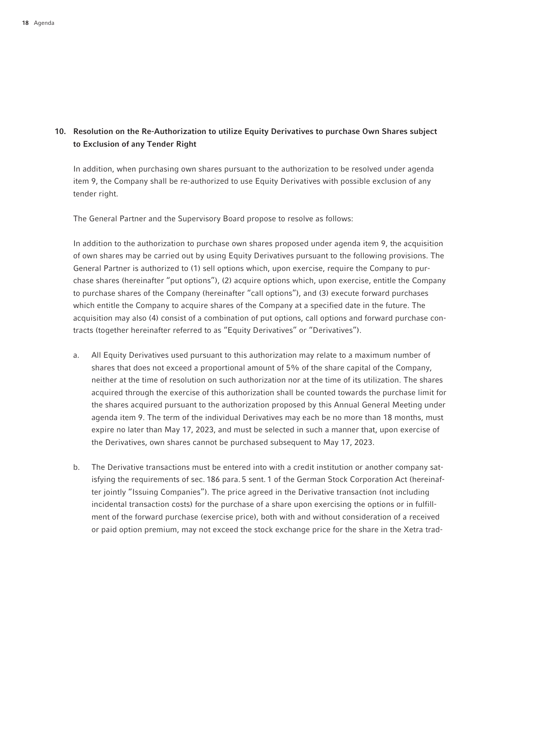# 10. Resolution on the Re-Authorization to utilize Equity Derivatives to purchase Own Shares subject to Exclusion of any Tender Right

 In addition, when purchasing own shares pursuant to the authorization to be resolved under agenda item 9, the Company shall be re-authorized to use Equity Derivatives with possible exclusion of any tender right.

The General Partner and the Supervisory Board propose to resolve as follows:

 In addition to the authorization to purchase own shares proposed under agenda item 9, the acquisition of own shares may be carried out by using Equity Derivatives pursuant to the following provisions. The General Partner is authorized to (1) sell options which, upon exercise, require the Company to purchase shares (hereinafter "put options"), (2) acquire options which, upon exercise, entitle the Company to purchase shares of the Company (hereinafter "call options"), and (3) execute forward purchases which entitle the Company to acquire shares of the Company at a specified date in the future. The acquisition may also (4) consist of a combination of put options, call options and forward purchase contracts (together hereinafter referred to as "Equity Derivatives" or "Derivatives").

- a. All Equity Derivatives used pursuant to this authorization may relate to a maximum number of shares that does not exceed a proportional amount of 5% of the share capital of the Company, neither at the time of resolution on such authorization nor at the time of its utilization. The shares acquired through the exercise of this authorization shall be counted towards the purchase limit for the shares acquired pursuant to the authorization proposed by this Annual General Meeting under agenda item 9. The term of the individual Derivatives may each be no more than 18 months, must expire no later than May 17, 2023, and must be selected in such a manner that, upon exercise of the Derivatives, own shares cannot be purchased subsequent to May 17, 2023.
- b. The Derivative transactions must be entered into with a credit institution or another company satisfying the requirements of sec. 186 para. 5 sent. 1 of the German Stock Corporation Act (hereinafter jointly "Issuing Companies"). The price agreed in the Derivative transaction (not including incidental transaction costs) for the purchase of a share upon exercising the options or in fulfillment of the forward purchase (exercise price), both with and without consideration of a received or paid option premium, may not exceed the stock exchange price for the share in the Xetra trad-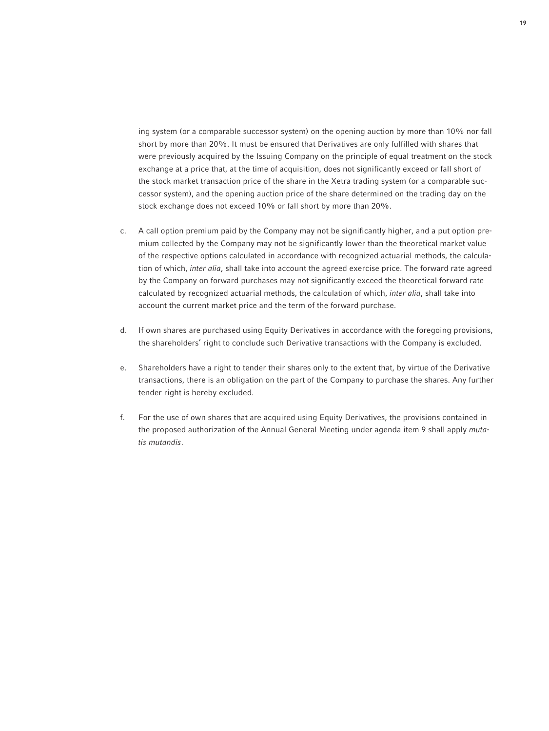ing system (or a comparable successor system) on the opening auction by more than 10% nor fall short by more than 20%. It must be ensured that Derivatives are only fulfilled with shares that were previously acquired by the Issuing Company on the principle of equal treatment on the stock exchange at a price that, at the time of acquisition, does not significantly exceed or fall short of the stock market transaction price of the share in the Xetra trading system (or a comparable successor system), and the opening auction price of the share determined on the trading day on the stock exchange does not exceed 10% or fall short by more than 20%.

- c. A call option premium paid by the Company may not be significantly higher, and a put option premium collected by the Company may not be significantly lower than the theoretical market value of the respective options calculated in accordance with recognized actuarial methods, the calculation of which, *inter alia*, shall take into account the agreed exercise price. The forward rate agreed by the Company on forward purchases may not significantly exceed the theoretical forward rate calculated by recognized actuarial methods, the calculation of which, *inter alia*, shall take into account the current market price and the term of the forward purchase.
- d. If own shares are purchased using Equity Derivatives in accordance with the foregoing provisions, the shareholders' right to conclude such Derivative transactions with the Company is excluded.
- e. Shareholders have a right to tender their shares only to the extent that, by virtue of the Derivative transactions, there is an obligation on the part of the Company to purchase the shares. Any further tender right is hereby excluded.
- f. For the use of own shares that are acquired using Equity Derivatives, the provisions contained in the proposed authorization of the Annual General Meeting under agenda item 9 shall apply *mutatis mutandis*.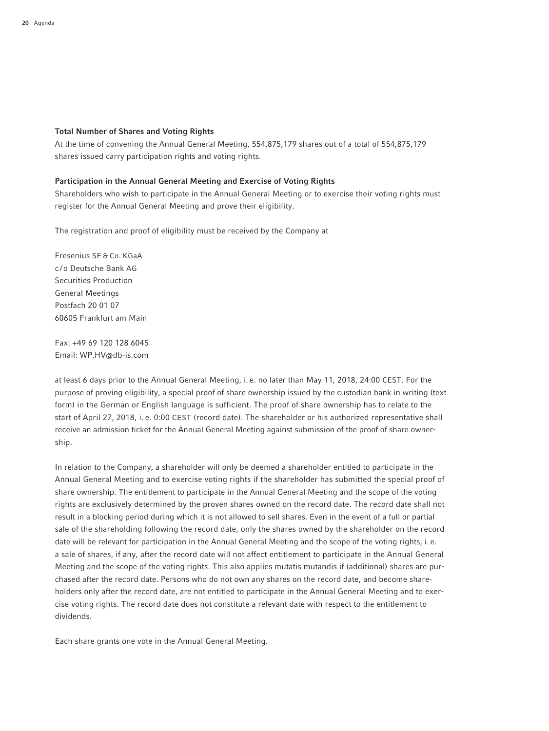### Total Number of Shares and Voting Rights

At the time of convening the Annual General Meeting, 554,875,179 shares out of a total of 554,875,179 shares issued carry participation rights and voting rights.

### Participation in the Annual General Meeting and Exercise of Voting Rights

Shareholders who wish to participate in the Annual General Meeting or to exercise their voting rights must register for the Annual General Meeting and prove their eligibility.

The registration and proof of eligibility must be received by the Company at

Fresenius SE & Co. KGaA c /o Deutsche Bank AG Securities Production General Meetings Postfach 20 01 07 60605 Frankfurt am Main

Fax: +49 69 120 128 6045 Email: WP.HV@db-is.com

at least 6 days prior to the Annual General Meeting, i. e. no later than May 11, 2018, 24:00 CEST. For the purpose of proving eligibility, a special proof of share ownership issued by the custodian bank in writing (text form) in the German or English language is sufficient. The proof of share ownership has to relate to the start of April 27, 2018, i. e. 0:00 CEST (record date). The shareholder or his authorized representative shall receive an admission ticket for the Annual General Meeting against submission of the proof of share ownership.

In relation to the Company, a shareholder will only be deemed a shareholder entitled to participate in the Annual General Meeting and to exercise voting rights if the shareholder has submitted the special proof of share ownership. The entitlement to participate in the Annual General Meeting and the scope of the voting rights are exclusively determined by the proven shares owned on the record date. The record date shall not result in a blocking period during which it is not allowed to sell shares. Even in the event of a full or partial sale of the shareholding following the record date, only the shares owned by the shareholder on the record date will be relevant for participation in the Annual General Meeting and the scope of the voting rights, i. e. a sale of shares, if any, after the record date will not affect entitlement to participate in the Annual General Meeting and the scope of the voting rights. This also applies mutatis mutandis if (additional) shares are purchased after the record date. Persons who do not own any shares on the record date, and become shareholders only after the record date, are not entitled to participate in the Annual General Meeting and to exercise voting rights. The record date does not constitute a relevant date with respect to the entitlement to dividends.

Each share grants one vote in the Annual General Meeting.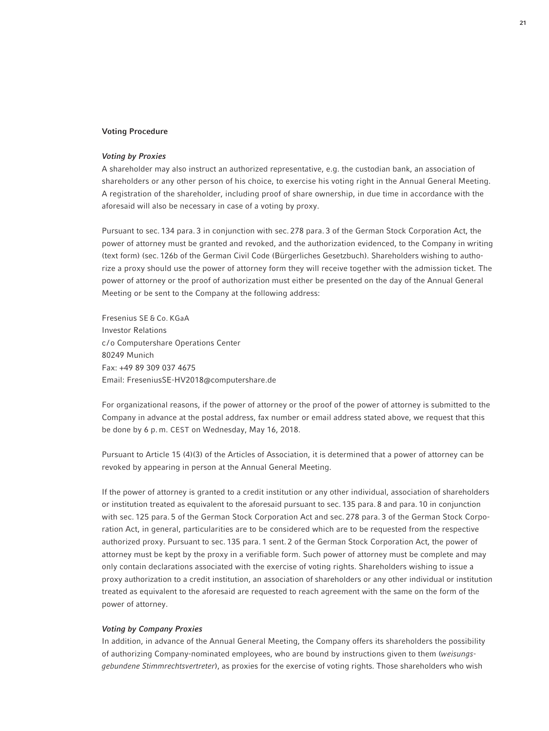### Voting Procedure

### *Voting by Proxies*

A shareholder may also instruct an authorized representative, e.g. the custodian bank, an association of shareholders or any other person of his choice, to exercise his voting right in the Annual General Meeting. A registration of the shareholder, including proof of share ownership, in due time in accordance with the aforesaid will also be necessary in case of a voting by proxy.

Pursuant to sec. 134 para. 3 in conjunction with sec. 278 para. 3 of the German Stock Corporation Act, the power of attorney must be granted and revoked, and the authorization evidenced, to the Company in writing (text form) (sec. 126b of the German Civil Code (Bürgerliches Gesetzbuch). Shareholders wishing to authorize a proxy should use the power of attorney form they will receive together with the admission ticket. The power of attorney or the proof of authorization must either be presented on the day of the Annual General Meeting or be sent to the Company at the following address:

Fresenius SE & Co. KGaA Investor Relations c /o Computershare Operations Center 80249 Munich Fax: +49 89 309 037 4675 Email: FreseniusSE-HV2018@computershare.de

For organizational reasons, if the power of attorney or the proof of the power of attorney is submitted to the Company in advance at the postal address, fax number or email address stated above, we request that this be done by 6 p. m. CEST on Wednesday, May 16, 2018.

Pursuant to Article 15 (4)(3) of the Articles of Association, it is determined that a power of attorney can be revoked by appearing in person at the Annual General Meeting.

If the power of attorney is granted to a credit institution or any other individual, association of shareholders or institution treated as equivalent to the aforesaid pursuant to sec. 135 para. 8 and para. 10 in conjunction with sec. 125 para. 5 of the German Stock Corporation Act and sec. 278 para. 3 of the German Stock Corporation Act, in general, particularities are to be considered which are to be requested from the respective authorized proxy. Pursuant to sec. 135 para. 1 sent. 2 of the German Stock Corporation Act, the power of attorney must be kept by the proxy in a verifiable form. Such power of attorney must be complete and may only contain declarations associated with the exercise of voting rights. Shareholders wishing to issue a proxy authorization to a credit institution, an association of shareholders or any other individual or institution treated as equivalent to the aforesaid are requested to reach agreement with the same on the form of the power of attorney.

#### *Voting by Company Proxies*

In addition, in advance of the Annual General Meeting, the Company offers its shareholders the possibility of authorizing Company-nominated employees, who are bound by instructions given to them (*weisungsgebundene Stimmrechtsvertreter*), as proxies for the exercise of voting rights. Those shareholders who wish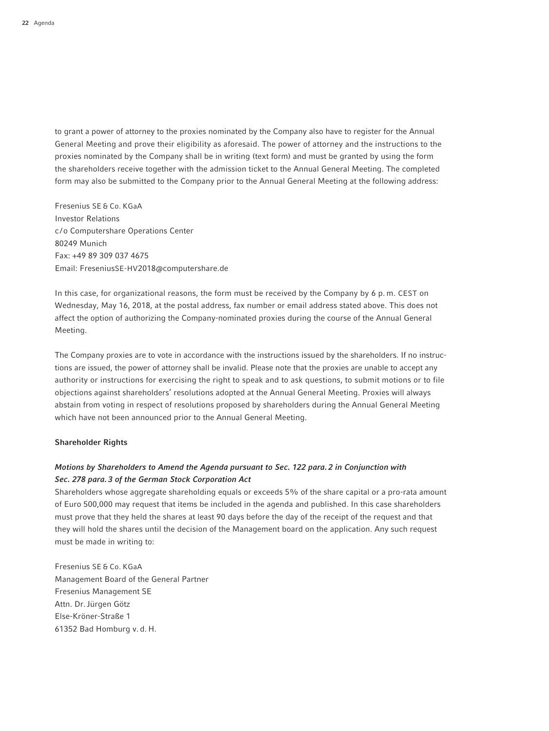to grant a power of attorney to the proxies nominated by the Company also have to register for the Annual General Meeting and prove their eligibility as aforesaid. The power of attorney and the instructions to the proxies nominated by the Company shall be in writing (text form) and must be granted by using the form the shareholders receive together with the admission ticket to the Annual General Meeting. The completed form may also be submitted to the Company prior to the Annual General Meeting at the following address:

Fresenius SE & Co. KGaA Investor Relations c /o Computershare Operations Center 80249 Munich Fax: +49 89 309 037 4675 Email: FreseniusSE-HV2018@computershare.de

In this case, for organizational reasons, the form must be received by the Company by 6 p. m. CEST on Wednesday, May 16, 2018, at the postal address, fax number or email address stated above. This does not affect the option of authorizing the Company-nominated proxies during the course of the Annual General Meeting.

The Company proxies are to vote in accordance with the instructions issued by the shareholders. If no instructions are issued, the power of attorney shall be invalid. Please note that the proxies are unable to accept any authority or instructions for exercising the right to speak and to ask questions, to submit motions or to file objections against shareholders' resolutions adopted at the Annual General Meeting. Proxies will always abstain from voting in respect of resolutions proposed by shareholders during the Annual General Meeting which have not been announced prior to the Annual General Meeting.

### Shareholder Rights

# *Motions by Shareholders to Amend the Agenda pursuant to Sec. 122 para. 2 in Conjunction with Sec. 278 para. 3 of the German Stock Corporation Act*

Shareholders whose aggregate shareholding equals or exceeds 5% of the share capital or a pro-rata amount of Euro 500,000 may request that items be included in the agenda and published. In this case shareholders must prove that they held the shares at least 90 days before the day of the receipt of the request and that they will hold the shares until the decision of the Management board on the application. Any such request must be made in writing to:

Fresenius SE & Co. KGaA Management Board of the General Partner Fresenius Management SE Attn. Dr.Jürgen Götz Else-Kröner-Straße 1 61352 Bad Homburg v. d. H.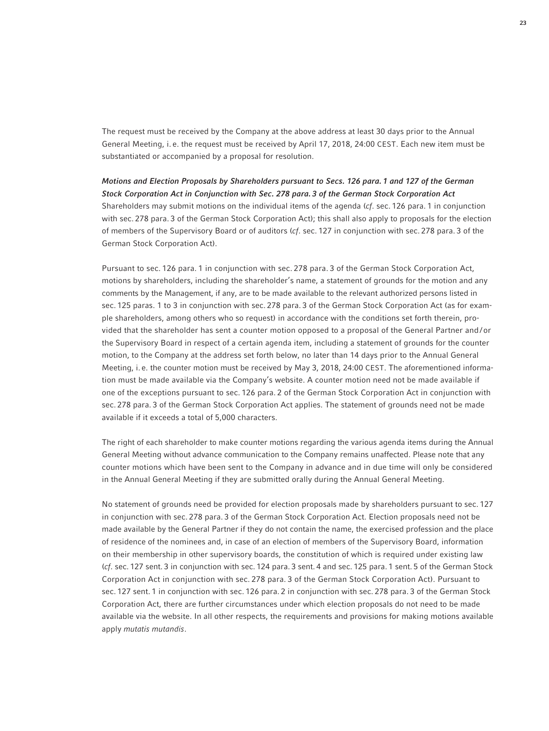The request must be received by the Company at the above address at least 30 days prior to the Annual General Meeting, i. e. the request must be received by April 17, 2018, 24:00 CEST. Each new item must be substantiated or accompanied by a proposal for resolution.

*Motions and Election Proposals by Shareholders pursuant to Secs. 126 para. 1 and 127 of the German Stock Corporation Act in Conjunction with Sec. 278 para. 3 of the German Stock Corporation Act* Shareholders may submit motions on the individual items of the agenda (*cf*. sec. 126 para. 1 in conjunction with sec. 278 para. 3 of the German Stock Corporation Act); this shall also apply to proposals for the election of members of the Supervisory Board or of auditors (*cf*. sec. 127 in conjunction with sec. 278 para. 3 of the German Stock Corporation Act).

Pursuant to sec. 126 para. 1 in conjunction with sec. 278 para. 3 of the German Stock Corporation Act, motions by shareholders, including the shareholder's name, a statement of grounds for the motion and any comments by the Management, if any, are to be made available to the relevant authorized persons listed in sec. 125 paras. 1 to 3 in conjunction with sec. 278 para. 3 of the German Stock Corporation Act (as for example shareholders, among others who so request) in accordance with the conditions set forth therein, provided that the shareholder has sent a counter motion opposed to a proposal of the General Partner and/ or the Supervisory Board in respect of a certain agenda item, including a statement of grounds for the counter motion, to the Company at the address set forth below, no later than 14 days prior to the Annual General Meeting, i. e. the counter motion must be received by May 3, 2018, 24:00 CEST. The aforementioned information must be made available via the Company's website. A counter motion need not be made available if one of the exceptions pursuant to sec. 126 para. 2 of the German Stock Corporation Act in conjunction with sec. 278 para. 3 of the German Stock Corporation Act applies. The statement of grounds need not be made available if it exceeds a total of 5,000 characters.

The right of each shareholder to make counter motions regarding the various agenda items during the Annual General Meeting without advance communication to the Company remains unaffected. Please note that any counter motions which have been sent to the Company in advance and in due time will only be considered in the Annual General Meeting if they are submitted orally during the Annual General Meeting.

No statement of grounds need be provided for election proposals made by shareholders pursuant to sec. 127 in conjunction with sec. 278 para. 3 of the German Stock Corporation Act. Election proposals need not be made available by the General Partner if they do not contain the name, the exercised profession and the place of residence of the nominees and, in case of an election of members of the Supervisory Board, information on their membership in other supervisory boards, the constitution of which is required under existing law (*cf*. sec. 127 sent. 3 in conjunction with sec. 124 para. 3 sent. 4 and sec. 125 para. 1 sent. 5 of the German Stock Corporation Act in conjunction with sec. 278 para. 3 of the German Stock Corporation Act). Pursuant to sec. 127 sent. 1 in conjunction with sec. 126 para. 2 in conjunction with sec. 278 para. 3 of the German Stock Corporation Act, there are further circumstances under which election proposals do not need to be made available via the website. In all other respects, the requirements and provisions for making motions available apply *mutatis mutandis*.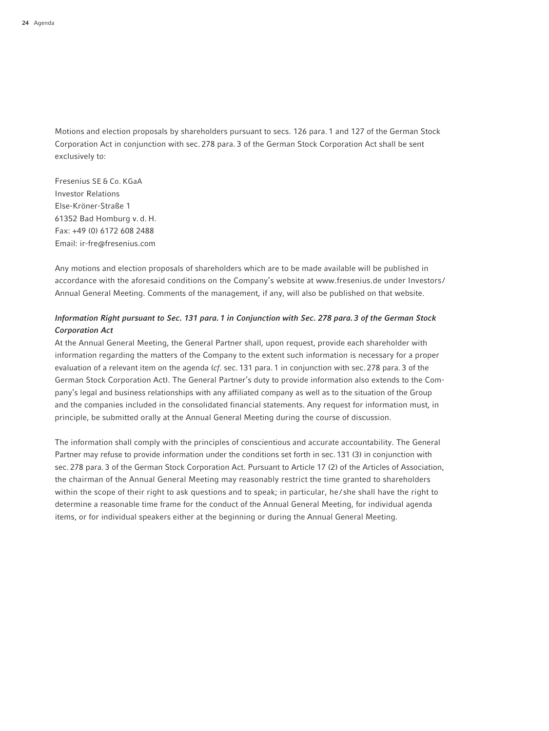Motions and election proposals by shareholders pursuant to secs. 126 para. 1 and 127 of the German Stock Corporation Act in conjunction with sec. 278 para. 3 of the German Stock Corporation Act shall be sent exclusively to:

Fresenius SE & Co. KGaA Investor Relations Else-Kröner-Straße 1 61352 Bad Homburg v. d. H. Fax: +49 (0) 6172 608 2488 Email: ir-fre@fresenius.com

Any motions and election proposals of shareholders which are to be made available will be published in accordance with the aforesaid conditions on the Company's website at www.fresenius.de under Investors / Annual General Meeting. Comments of the management, if any, will also be published on that website.

## *Information Right pursuant to Sec. 131 para. 1 in Conjunction with Sec. 278 para. 3 of the German Stock Corporation Act*

At the Annual General Meeting, the General Partner shall, upon request, provide each shareholder with information regarding the matters of the Company to the extent such information is necessary for a proper evaluation of a relevant item on the agenda (*cf*. sec. 131 para. 1 in conjunction with sec. 278 para. 3 of the German Stock Corporation Act). The General Partner's duty to provide information also extends to the Company's legal and business relationships with any affiliated company as well as to the situation of the Group and the companies included in the consolidated financial statements. Any request for information must, in principle, be submitted orally at the Annual General Meeting during the course of discussion.

The information shall comply with the principles of conscientious and accurate accountability. The General Partner may refuse to provide information under the conditions set forth in sec. 131 (3) in conjunction with sec. 278 para. 3 of the German Stock Corporation Act. Pursuant to Article 17 (2) of the Articles of Association, the chairman of the Annual General Meeting may reasonably restrict the time granted to shareholders within the scope of their right to ask questions and to speak; in particular, he/she shall have the right to determine a reasonable time frame for the conduct of the Annual General Meeting, for individual agenda items, or for individual speakers either at the beginning or during the Annual General Meeting.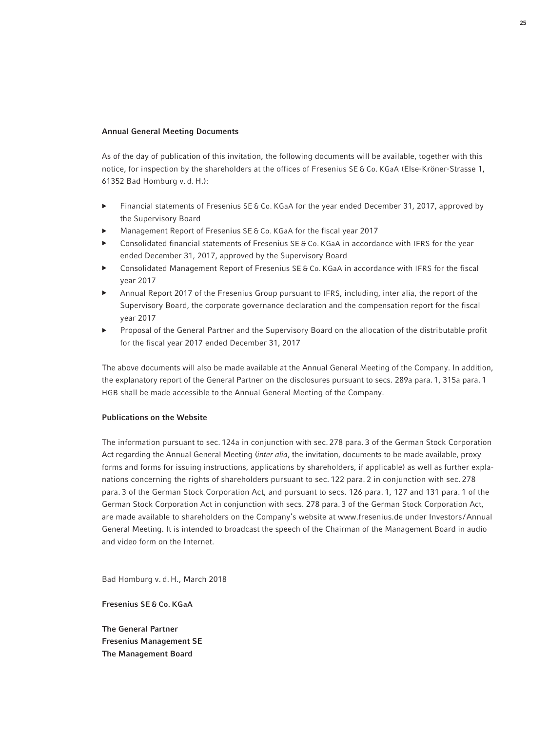### Annual General Meeting Documents

As of the day of publication of this invitation, the following documents will be available, together with this notice, for inspection by the shareholders at the offices of Fresenius SE & Co. KGaA (Else-Kröner-Strasse 1, 61352 Bad Homburg v. d. H.):

- Financial statements of Fresenius SE & Co. KGaA for the year ended December 31, 2017, approved by the Supervisory Board
- ▶ Management Report of Fresenius SE & Co. KGaA for the fiscal year 2017
- Consolidated financial statements of Fresenius SE & Co. KGaA in accordance with IFRS for the year ended December 31, 2017, approved by the Supervisory Board
- ▶ Consolidated Management Report of Fresenius SE & Co. KGaA in accordance with IFRS for the fiscal year 2017
- Annual Report 2017 of the Fresenius Group pursuant to IFRS, including, inter alia, the report of the Supervisory Board, the corporate governance declaration and the compensation report for the fiscal year 2017
- Proposal of the General Partner and the Supervisory Board on the allocation of the distributable profit for the fiscal year 2017 ended December 31, 2017

The above documents will also be made available at the Annual General Meeting of the Company. In addition, the explanatory report of the General Partner on the disclosures pursuant to secs. 289a para. 1, 315a para. 1 HGB shall be made accessible to the Annual General Meeting of the Company.

### Publications on the Website

The information pursuant to sec. 124a in conjunction with sec. 278 para. 3 of the German Stock Corporation Act regarding the Annual General Meeting (*inter alia*, the invitation, documents to be made available, proxy forms and forms for issuing instructions, applications by shareholders, if applicable) as well as further explanations concerning the rights of shareholders pursuant to sec. 122 para. 2 in conjunction with sec. 278 para. 3 of the German Stock Corporation Act, and pursuant to secs. 126 para. 1, 127 and 131 para. 1 of the German Stock Corporation Act in conjunction with secs. 278 para. 3 of the German Stock Corporation Act, are made available to shareholders on the Company's website at www.fresenius.de under Investors /Annual General Meeting. It is intended to broadcast the speech of the Chairman of the Management Board in audio and video form on the Internet.

Bad Homburg v. d. H., March 2018

Fresenius SE & Co. KGaA

The General Partner Fresenius Management SE The Management Board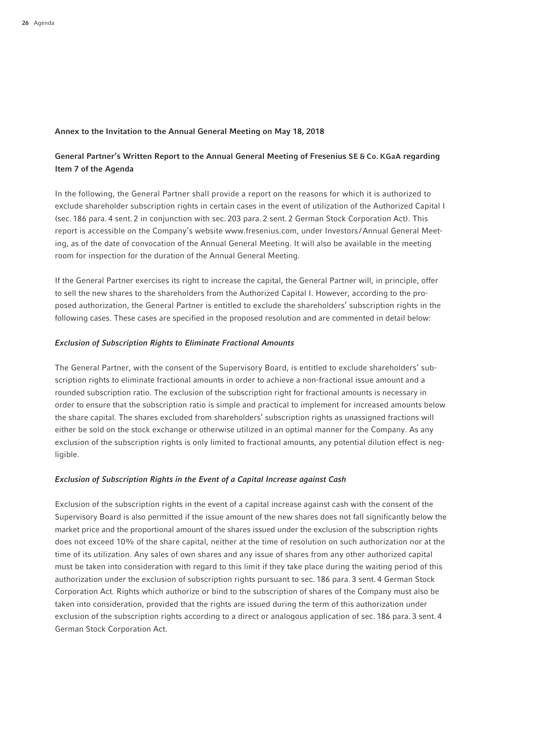### Annex to the Invitation to the Annual General Meeting on May 18, 2018

## General Partner's Written Report to the Annual General Meeting of Fresenius SE & Co. KGaA regarding Item 7 of the Agenda

In the following, the General Partner shall provide a report on the reasons for which it is authorized to exclude shareholder subscription rights in certain cases in the event of utilization of the Authorized Capital I (sec. 186 para. 4 sent. 2 in conjunction with sec. 203 para. 2 sent. 2 German Stock Corporation Act). This report is accessible on the Company's website www.fresenius.com, under Investors /Annual General Meeting, as of the date of convocation of the Annual General Meeting. It will also be available in the meeting room for inspection for the duration of the Annual General Meeting.

If the General Partner exercises its right to increase the capital, the General Partner will, in principle, offer to sell the new shares to the shareholders from the Authorized Capital I. However, according to the proposed authorization, the General Partner is entitled to exclude the shareholders' subscription rights in the following cases. These cases are specified in the proposed resolution and are commented in detail below:

#### *Exclusion of Subscription Rights to Eliminate Fractional Amounts*

The General Partner, with the consent of the Supervisory Board, is entitled to exclude shareholders' subscription rights to eliminate fractional amounts in order to achieve a non-fractional issue amount and a rounded subscription ratio. The exclusion of the subscription right for fractional amounts is necessary in order to ensure that the subscription ratio is simple and practical to implement for increased amounts below the share capital. The shares excluded from shareholders' subscription rights as unassigned fractions will either be sold on the stock exchange or otherwise utilized in an optimal manner for the Company. As any exclusion of the subscription rights is only limited to fractional amounts, any potential dilution effect is negligible.

#### *Exclusion of Subscription Rights in the Event of a Capital Increase against Cash*

Exclusion of the subscription rights in the event of a capital increase against cash with the consent of the Supervisory Board is also permitted if the issue amount of the new shares does not fall significantly below the market price and the proportional amount of the shares issued under the exclusion of the subscription rights does not exceed 10% of the share capital, neither at the time of resolution on such authorization nor at the time of its utilization. Any sales of own shares and any issue of shares from any other authorized capital must be taken into consideration with regard to this limit if they take place during the waiting period of this authorization under the exclusion of subscription rights pursuant to sec. 186 para. 3 sent. 4 German Stock Corporation Act. Rights which authorize or bind to the subscription of shares of the Company must also be taken into consideration, provided that the rights are issued during the term of this authorization under exclusion of the subscription rights according to a direct or analogous application of sec. 186 para. 3 sent. 4 German Stock Corporation Act.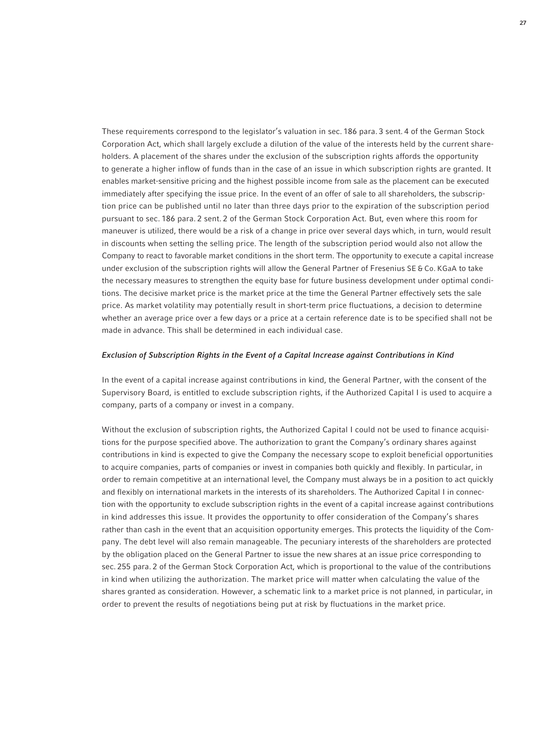These requirements correspond to the legislator's valuation in sec. 186 para. 3 sent. 4 of the German Stock Corporation Act, which shall largely exclude a dilution of the value of the interests held by the current shareholders. A placement of the shares under the exclusion of the subscription rights affords the opportunity to generate a higher inflow of funds than in the case of an issue in which subscription rights are granted. It enables market-sensitive pricing and the highest possible income from sale as the placement can be executed immediately after specifying the issue price. In the event of an offer of sale to all shareholders, the subscription price can be published until no later than three days prior to the expiration of the subscription period pursuant to sec. 186 para. 2 sent. 2 of the German Stock Corporation Act. But, even where this room for maneuver is utilized, there would be a risk of a change in price over several days which, in turn, would result in discounts when setting the selling price. The length of the subscription period would also not allow the Company to react to favorable market conditions in the short term. The opportunity to execute a capital increase under exclusion of the subscription rights will allow the General Partner of Fresenius SE & Co. KGaA to take the necessary measures to strengthen the equity base for future business development under optimal conditions. The decisive market price is the market price at the time the General Partner effectively sets the sale price. As market volatility may potentially result in short-term price fluctuations, a decision to determine whether an average price over a few days or a price at a certain reference date is to be specified shall not be made in advance. This shall be determined in each individual case.

#### *Exclusion of Subscription Rights in the Event of a Capital Increase against Contributions in Kind*

In the event of a capital increase against contributions in kind, the General Partner, with the consent of the Supervisory Board, is entitled to exclude subscription rights, if the Authorized Capital I is used to acquire a company, parts of a company or invest in a company.

Without the exclusion of subscription rights, the Authorized Capital I could not be used to finance acquisitions for the purpose specified above. The authorization to grant the Company's ordinary shares against contributions in kind is expected to give the Company the necessary scope to exploit beneficial opportunities to acquire companies, parts of companies or invest in companies both quickly and flexibly. In particular, in order to remain competitive at an international level, the Company must always be in a position to act quickly and flexibly on international markets in the interests of its shareholders. The Authorized Capital I in connection with the opportunity to exclude subscription rights in the event of a capital increase against contributions in kind addresses this issue. It provides the opportunity to offer consideration of the Company's shares rather than cash in the event that an acquisition opportunity emerges. This protects the liquidity of the Company. The debt level will also remain manageable. The pecuniary interests of the shareholders are protected by the obligation placed on the General Partner to issue the new shares at an issue price corresponding to sec. 255 para. 2 of the German Stock Corporation Act, which is proportional to the value of the contributions in kind when utilizing the authorization. The market price will matter when calculating the value of the shares granted as consideration. However, a schematic link to a market price is not planned, in particular, in order to prevent the results of negotiations being put at risk by fluctuations in the market price.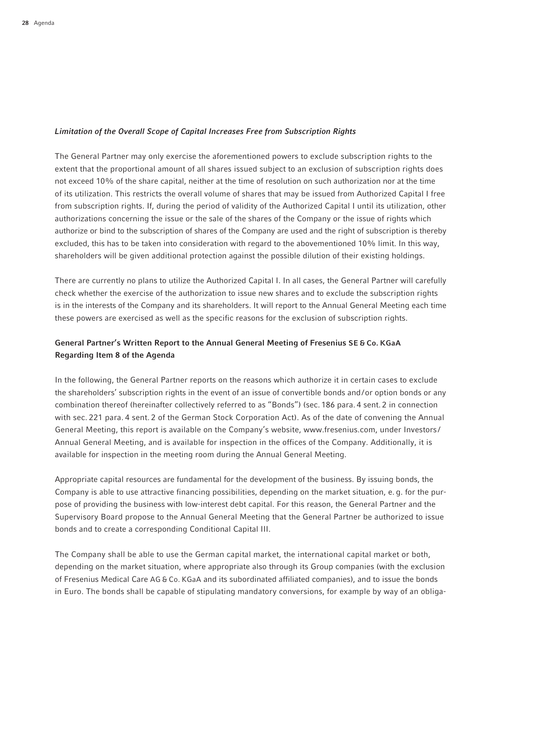## *Limitation of the Overall Scope of Capital Increases Free from Subscription Rights*

The General Partner may only exercise the aforementioned powers to exclude subscription rights to the extent that the proportional amount of all shares issued subject to an exclusion of subscription rights does not exceed 10% of the share capital, neither at the time of resolution on such authorization nor at the time of its utilization. This restricts the overall volume of shares that may be issued from Authorized Capital I free from subscription rights. If, during the period of validity of the Authorized Capital I until its utilization, other authorizations concerning the issue or the sale of the shares of the Company or the issue of rights which authorize or bind to the subscription of shares of the Company are used and the right of subscription is thereby excluded, this has to be taken into consideration with regard to the abovementioned 10% limit. In this way, shareholders will be given additional protection against the possible dilution of their existing holdings.

There are currently no plans to utilize the Authorized Capital I. In all cases, the General Partner will carefully check whether the exercise of the authorization to issue new shares and to exclude the subscription rights is in the interests of the Company and its shareholders. It will report to the Annual General Meeting each time these powers are exercised as well as the specific reasons for the exclusion of subscription rights.

## General Partner's Written Report to the Annual General Meeting of Fresenius SE & Co. KGaA Regarding Item 8 of the Agenda

In the following, the General Partner reports on the reasons which authorize it in certain cases to exclude the shareholders' subscription rights in the event of an issue of convertible bonds and/or option bonds or any combination thereof (hereinafter collectively referred to as "Bonds") (sec. 186 para. 4 sent. 2 in connection with sec. 221 para. 4 sent. 2 of the German Stock Corporation Act). As of the date of convening the Annual General Meeting, this report is available on the Company's website, www.fresenius.com, under Investors / Annual General Meeting, and is available for inspection in the offices of the Company. Additionally, it is available for inspection in the meeting room during the Annual General Meeting.

Appropriate capital resources are fundamental for the development of the business. By issuing bonds, the Company is able to use attractive financing possibilities, depending on the market situation, e. g. for the purpose of providing the business with low-interest debt capital. For this reason, the General Partner and the Supervisory Board propose to the Annual General Meeting that the General Partner be authorized to issue bonds and to create a corresponding Conditional Capital III.

The Company shall be able to use the German capital market, the international capital market or both, depending on the market situation, where appropriate also through its Group companies (with the exclusion of Fresenius Medical Care AG & Co. KGaA and its subordinated affiliated companies), and to issue the bonds in Euro. The bonds shall be capable of stipulating mandatory conversions, for example by way of an obliga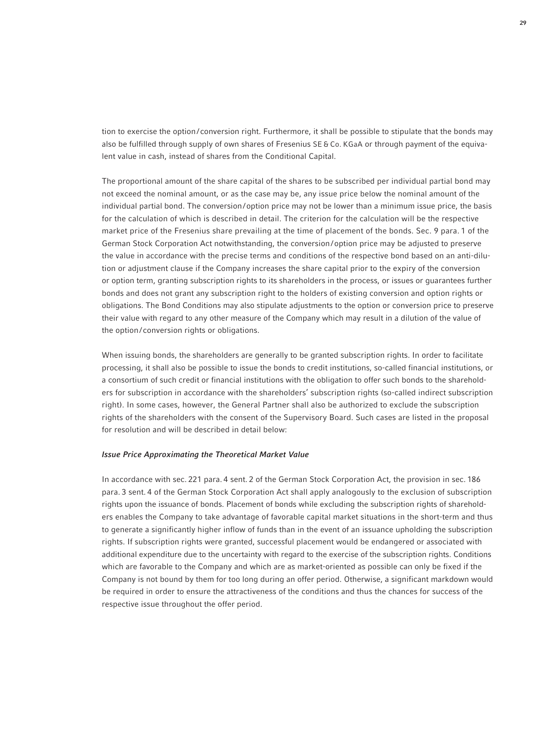tion to exercise the option/conversion right. Furthermore, it shall be possible to stipulate that the bonds may also be fulfilled through supply of own shares of Fresenius SE & Co. KGaA or through payment of the equivalent value in cash, instead of shares from the Conditional Capital.

The proportional amount of the share capital of the shares to be subscribed per individual partial bond may not exceed the nominal amount, or as the case may be, any issue price below the nominal amount of the individual partial bond. The conversion/option price may not be lower than a minimum issue price, the basis for the calculation of which is described in detail. The criterion for the calculation will be the respective market price of the Fresenius share prevailing at the time of placement of the bonds. Sec. 9 para. 1 of the German Stock Corporation Act notwithstanding, the conversion/option price may be adjusted to preserve the value in accordance with the precise terms and conditions of the respective bond based on an anti-dilution or adjustment clause if the Company increases the share capital prior to the expiry of the conversion or option term, granting subscription rights to its shareholders in the process, or issues or guarantees further bonds and does not grant any subscription right to the holders of existing conversion and option rights or obligations. The Bond Conditions may also stipulate adjustments to the option or conversion price to preserve their value with regard to any other measure of the Company which may result in a dilution of the value of the option/ conversion rights or obligations.

When issuing bonds, the shareholders are generally to be granted subscription rights. In order to facilitate processing, it shall also be possible to issue the bonds to credit institutions, so-called financial institutions, or a consortium of such credit or financial institutions with the obligation to offer such bonds to the shareholders for subscription in accordance with the shareholders' subscription rights (so-called indirect subscription right). In some cases, however, the General Partner shall also be authorized to exclude the subscription rights of the shareholders with the consent of the Supervisory Board. Such cases are listed in the proposal for resolution and will be described in detail below:

#### *Issue Price Approximating the Theoretical Market Value*

In accordance with sec. 221 para. 4 sent. 2 of the German Stock Corporation Act, the provision in sec. 186 para. 3 sent. 4 of the German Stock Corporation Act shall apply analogously to the exclusion of subscription rights upon the issuance of bonds. Placement of bonds while excluding the subscription rights of shareholders enables the Company to take advantage of favorable capital market situations in the short-term and thus to generate a significantly higher inflow of funds than in the event of an issuance upholding the subscription rights. If subscription rights were granted, successful placement would be endangered or associated with additional expenditure due to the uncertainty with regard to the exercise of the subscription rights. Conditions which are favorable to the Company and which are as market-oriented as possible can only be fixed if the Company is not bound by them for too long during an offer period. Otherwise, a significant markdown would be required in order to ensure the attractiveness of the conditions and thus the chances for success of the respective issue throughout the offer period.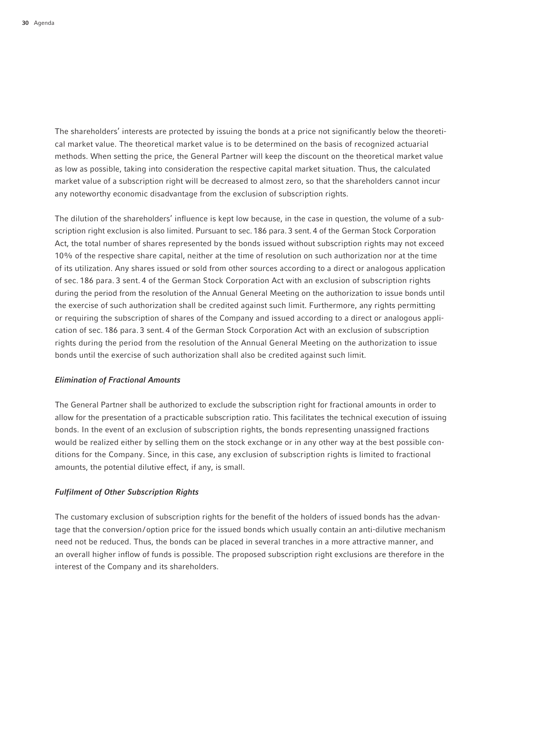The shareholders' interests are protected by issuing the bonds at a price not significantly below the theoretical market value. The theoretical market value is to be determined on the basis of recognized actuarial methods. When setting the price, the General Partner will keep the discount on the theoretical market value as low as possible, taking into consideration the respective capital market situation. Thus, the calculated market value of a subscription right will be decreased to almost zero, so that the shareholders cannot incur any noteworthy economic disadvantage from the exclusion of subscription rights.

The dilution of the shareholders' influence is kept low because, in the case in question, the volume of a subscription right exclusion is also limited. Pursuant to sec. 186 para. 3 sent. 4 of the German Stock Corporation Act, the total number of shares represented by the bonds issued without subscription rights may not exceed 10% of the respective share capital, neither at the time of resolution on such authorization nor at the time of its utilization. Any shares issued or sold from other sources according to a direct or analogous application of sec. 186 para. 3 sent. 4 of the German Stock Corporation Act with an exclusion of subscription rights during the period from the resolution of the Annual General Meeting on the authorization to issue bonds until the exercise of such authorization shall be credited against such limit. Furthermore, any rights permitting or requiring the subscription of shares of the Company and issued according to a direct or analogous application of sec. 186 para. 3 sent. 4 of the German Stock Corporation Act with an exclusion of subscription rights during the period from the resolution of the Annual General Meeting on the authorization to issue bonds until the exercise of such authorization shall also be credited against such limit.

#### *Elimination of Fractional Amounts*

The General Partner shall be authorized to exclude the subscription right for fractional amounts in order to allow for the presentation of a practicable subscription ratio. This facilitates the technical execution of issuing bonds. In the event of an exclusion of subscription rights, the bonds representing unassigned fractions would be realized either by selling them on the stock exchange or in any other way at the best possible conditions for the Company. Since, in this case, any exclusion of subscription rights is limited to fractional amounts, the potential dilutive effect, if any, is small.

### *Fulfilment of Other Subscription Rights*

The customary exclusion of subscription rights for the benefit of the holders of issued bonds has the advantage that the conversion/option price for the issued bonds which usually contain an anti-dilutive mechanism need not be reduced. Thus, the bonds can be placed in several tranches in a more attractive manner, and an overall higher inflow of funds is possible. The proposed subscription right exclusions are therefore in the interest of the Company and its shareholders.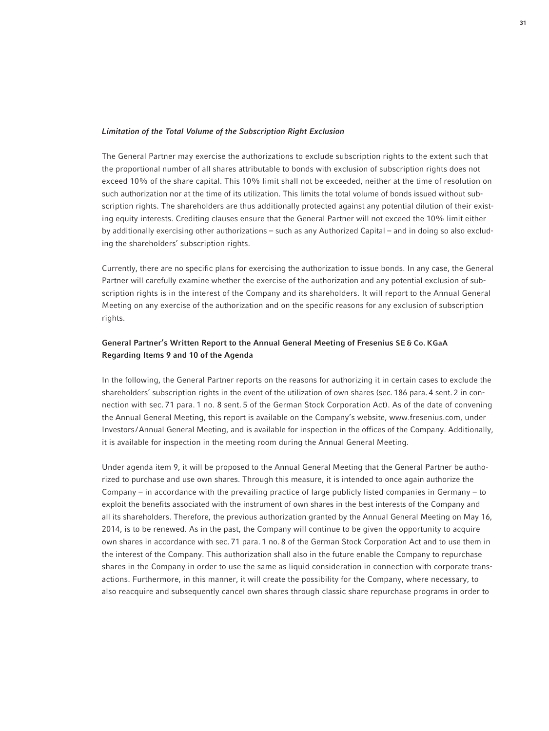### *Limitation of the Total Volume of the Subscription Right Exclusion*

The General Partner may exercise the authorizations to exclude subscription rights to the extent such that the proportional number of all shares attributable to bonds with exclusion of subscription rights does not exceed 10% of the share capital. This 10% limit shall not be exceeded, neither at the time of resolution on such authorization nor at the time of its utilization. This limits the total volume of bonds issued without subscription rights. The shareholders are thus additionally protected against any potential dilution of their existing equity interests. Crediting clauses ensure that the General Partner will not exceed the 10% limit either by additionally exercising other authorizations – such as any Authorized Capital – and in doing so also excluding the shareholders' subscription rights.

Currently, there are no specific plans for exercising the authorization to issue bonds. In any case, the General Partner will carefully examine whether the exercise of the authorization and any potential exclusion of subscription rights is in the interest of the Company and its shareholders. It will report to the Annual General Meeting on any exercise of the authorization and on the specific reasons for any exclusion of subscription rights.

# General Partner's Written Report to the Annual General Meeting of Fresenius SE & Co. KGaA Regarding Items 9 and 10 of the Agenda

In the following, the General Partner reports on the reasons for authorizing it in certain cases to exclude the shareholders' subscription rights in the event of the utilization of own shares (sec. 186 para. 4 sent. 2 in connection with sec. 71 para. 1 no. 8 sent. 5 of the German Stock Corporation Act). As of the date of convening the Annual General Meeting, this report is available on the Company's website, www.fresenius.com, under Investors /Annual General Meeting, and is available for inspection in the offices of the Company. Additionally, it is available for inspection in the meeting room during the Annual General Meeting.

Under agenda item 9, it will be proposed to the Annual General Meeting that the General Partner be authorized to purchase and use own shares. Through this measure, it is intended to once again authorize the Company – in accordance with the prevailing practice of large publicly listed companies in Germany – to exploit the benefits associated with the instrument of own shares in the best interests of the Company and all its shareholders. Therefore, the previous authorization granted by the Annual General Meeting on May 16, 2014, is to be renewed. As in the past, the Company will continue to be given the opportunity to acquire own shares in accordance with sec. 71 para. 1 no. 8 of the German Stock Corporation Act and to use them in the interest of the Company. This authorization shall also in the future enable the Company to repurchase shares in the Company in order to use the same as liquid consideration in connection with corporate transactions. Furthermore, in this manner, it will create the possibility for the Company, where necessary, to also reacquire and subsequently cancel own shares through classic share repurchase programs in order to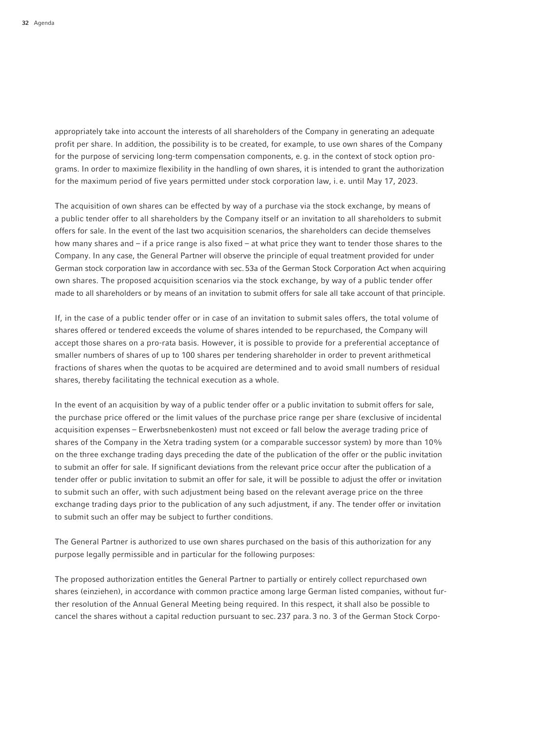appropriately take into account the interests of all shareholders of the Company in generating an adequate profit per share. In addition, the possibility is to be created, for example, to use own shares of the Company for the purpose of servicing long-term compensation components, e. g. in the context of stock option programs. In order to maximize flexibility in the handling of own shares, it is intended to grant the authorization for the maximum period of five years permitted under stock corporation law, i. e. until May 17, 2023.

The acquisition of own shares can be effected by way of a purchase via the stock exchange, by means of a public tender offer to all shareholders by the Company itself or an invitation to all shareholders to submit offers for sale. In the event of the last two acquisition scenarios, the shareholders can decide themselves how many shares and – if a price range is also fixed – at what price they want to tender those shares to the Company. In any case, the General Partner will observe the principle of equal treatment provided for under German stock corporation law in accordance with sec.53a of the German Stock Corporation Act when acquiring own shares. The proposed acquisition scenarios via the stock exchange, by way of a public tender offer made to all shareholders or by means of an invitation to submit offers for sale all take account of that principle.

If, in the case of a public tender offer or in case of an invitation to submit sales offers, the total volume of shares offered or tendered exceeds the volume of shares intended to be repurchased, the Company will accept those shares on a pro-rata basis. However, it is possible to provide for a preferential acceptance of smaller numbers of shares of up to 100 shares per tendering shareholder in order to prevent arithmetical fractions of shares when the quotas to be acquired are determined and to avoid small numbers of residual shares, thereby facilitating the technical execution as a whole.

In the event of an acquisition by way of a public tender offer or a public invitation to submit offers for sale, the purchase price offered or the limit values of the purchase price range per share (exclusive of incidental acquisition expenses – Erwerbsnebenkosten) must not exceed or fall below the average trading price of shares of the Company in the Xetra trading system (or a comparable successor system) by more than 10% on the three exchange trading days preceding the date of the publication of the offer or the public invitation to submit an offer for sale. If significant deviations from the relevant price occur after the publication of a tender offer or public invitation to submit an offer for sale, it will be possible to adjust the offer or invitation to submit such an offer, with such adjustment being based on the relevant average price on the three exchange trading days prior to the publication of any such adjustment, if any. The tender offer or invitation to submit such an offer may be subject to further conditions.

The General Partner is authorized to use own shares purchased on the basis of this authorization for any purpose legally permissible and in particular for the following purposes:

The proposed authorization entitles the General Partner to partially or entirely collect repurchased own shares (einziehen), in accordance with common practice among large German listed companies, without further resolution of the Annual General Meeting being required. In this respect, it shall also be possible to cancel the shares without a capital reduction pursuant to sec. 237 para. 3 no. 3 of the German Stock Corpo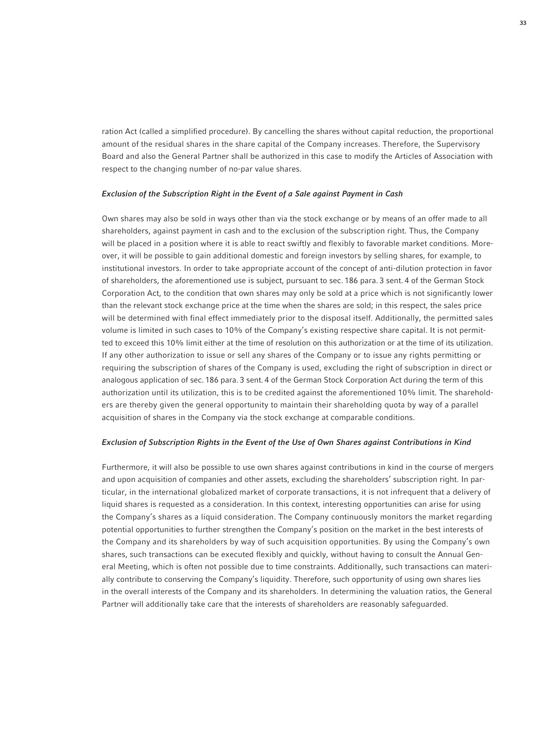ration Act (called a simplified procedure). By cancelling the shares without capital reduction, the proportional amount of the residual shares in the share capital of the Company increases. Therefore, the Supervisory Board and also the General Partner shall be authorized in this case to modify the Articles of Association with respect to the changing number of no-par value shares.

#### *Exclusion of the Subscription Right in the Event of a Sale against Payment in Cash*

Own shares may also be sold in ways other than via the stock exchange or by means of an offer made to all shareholders, against payment in cash and to the exclusion of the subscription right. Thus, the Company will be placed in a position where it is able to react swiftly and flexibly to favorable market conditions. Moreover, it will be possible to gain additional domestic and foreign investors by selling shares, for example, to institutional investors. In order to take appropriate account of the concept of anti-dilution protection in favor of shareholders, the aforementioned use is subject, pursuant to sec. 186 para. 3 sent. 4 of the German Stock Corporation Act, to the condition that own shares may only be sold at a price which is not significantly lower than the relevant stock exchange price at the time when the shares are sold; in this respect, the sales price will be determined with final effect immediately prior to the disposal itself. Additionally, the permitted sales volume is limited in such cases to 10% of the Company's existing respective share capital. It is not permitted to exceed this 10% limit either at the time of resolution on this authorization or at the time of its utilization. If any other authorization to issue or sell any shares of the Company or to issue any rights permitting or requiring the subscription of shares of the Company is used, excluding the right of subscription in direct or analogous application of sec. 186 para. 3 sent. 4 of the German Stock Corporation Act during the term of this authorization until its utilization, this is to be credited against the aforementioned 10% limit. The shareholders are thereby given the general opportunity to maintain their shareholding quota by way of a parallel acquisition of shares in the Company via the stock exchange at comparable conditions.

#### *Exclusion of Subscription Rights in the Event of the Use of Own Shares against Contributions in Kind*

Furthermore, it will also be possible to use own shares against contributions in kind in the course of mergers and upon acquisition of companies and other assets, excluding the shareholders' subscription right. In particular, in the international globalized market of corporate transactions, it is not infrequent that a delivery of liquid shares is requested as a consideration. In this context, interesting opportunities can arise for using the Company's shares as a liquid consideration. The Company continuously monitors the market regarding potential opportunities to further strengthen the Company's position on the market in the best interests of the Company and its shareholders by way of such acquisition opportunities. By using the Company's own shares, such transactions can be executed flexibly and quickly, without having to consult the Annual General Meeting, which is often not possible due to time constraints. Additionally, such transactions can materially contribute to conserving the Company's liquidity. Therefore, such opportunity of using own shares lies in the overall interests of the Company and its shareholders. In determining the valuation ratios, the General Partner will additionally take care that the interests of shareholders are reasonably safeguarded.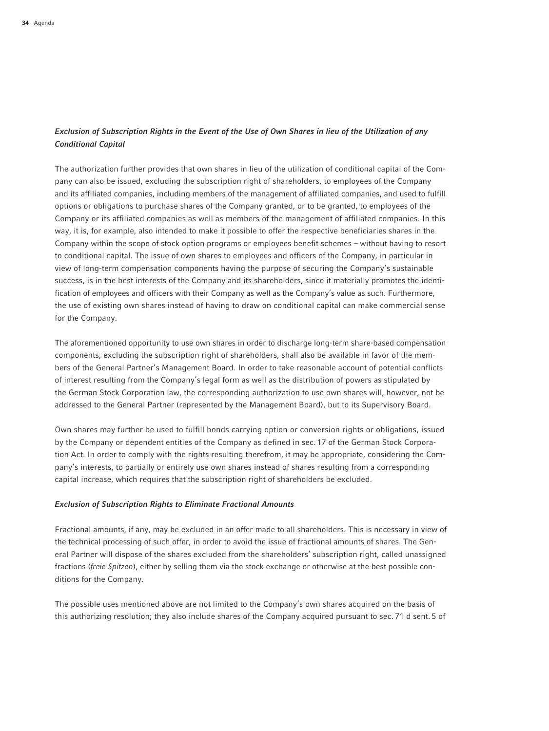# *Exclusion of Subscription Rights in the Event of the Use of Own Shares in lieu of the Utilization of any Conditional Capital*

The authorization further provides that own shares in lieu of the utilization of conditional capital of the Company can also be issued, excluding the subscription right of shareholders, to employees of the Company and its affiliated companies, including members of the management of affiliated companies, and used to fulfill options or obligations to purchase shares of the Company granted, or to be granted, to employees of the Company or its affiliated companies as well as members of the management of affiliated companies. In this way, it is, for example, also intended to make it possible to offer the respective beneficiaries shares in the Company within the scope of stock option programs or employees benefit schemes – without having to resort to conditional capital. The issue of own shares to employees and officers of the Company, in particular in view of long-term compensation components having the purpose of securing the Company's sustainable success, is in the best interests of the Company and its shareholders, since it materially promotes the identification of employees and officers with their Company as well as the Company's value as such. Furthermore, the use of existing own shares instead of having to draw on conditional capital can make commercial sense for the Company.

The aforementioned opportunity to use own shares in order to discharge long-term share-based compensation components, excluding the subscription right of shareholders, shall also be available in favor of the members of the General Partner's Management Board. In order to take reasonable account of potential conflicts of interest resulting from the Company's legal form as well as the distribution of powers as stipulated by the German Stock Corporation law, the corresponding authorization to use own shares will, however, not be addressed to the General Partner (represented by the Management Board), but to its Supervisory Board.

Own shares may further be used to fulfill bonds carrying option or conversion rights or obligations, issued by the Company or dependent entities of the Company as defined in sec. 17 of the German Stock Corporation Act. In order to comply with the rights resulting therefrom, it may be appropriate, considering the Company's interests, to partially or entirely use own shares instead of shares resulting from a corresponding capital increase, which requires that the subscription right of shareholders be excluded.

#### *Exclusion of Subscription Rights to Eliminate Fractional Amounts*

Fractional amounts, if any, may be excluded in an offer made to all shareholders. This is necessary in view of the technical processing of such offer, in order to avoid the issue of fractional amounts of shares. The General Partner will dispose of the shares excluded from the shareholders' subscription right, called unassigned fractions (*freie Spitzen*), either by selling them via the stock exchange or otherwise at the best possible conditions for the Company.

The possible uses mentioned above are not limited to the Company's own shares acquired on the basis of this authorizing resolution; they also include shares of the Company acquired pursuant to sec. 71 d sent. 5 of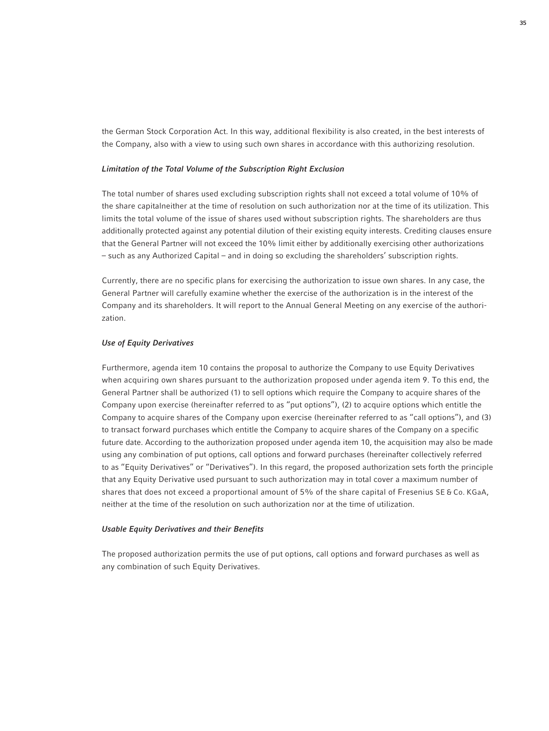the German Stock Corporation Act. In this way, additional flexibility is also created, in the best interests of the Company, also with a view to using such own shares in accordance with this authorizing resolution.

## *Limitation of the Total Volume of the Subscription Right Exclusion*

The total number of shares used excluding subscription rights shall not exceed a total volume of 10% of the share capitalneither at the time of resolution on such authorization nor at the time of its utilization. This limits the total volume of the issue of shares used without subscription rights. The shareholders are thus additionally protected against any potential dilution of their existing equity interests. Crediting clauses ensure that the General Partner will not exceed the 10% limit either by additionally exercising other authorizations – such as any Authorized Capital – and in doing so excluding the shareholders' subscription rights.

Currently, there are no specific plans for exercising the authorization to issue own shares. In any case, the General Partner will carefully examine whether the exercise of the authorization is in the interest of the Company and its shareholders. It will report to the Annual General Meeting on any exercise of the authorization.

#### *Use of Equity Derivatives*

Furthermore, agenda item 10 contains the proposal to authorize the Company to use Equity Derivatives when acquiring own shares pursuant to the authorization proposed under agenda item 9. To this end, the General Partner shall be authorized (1) to sell options which require the Company to acquire shares of the Company upon exercise (hereinafter referred to as "put options"), (2) to acquire options which entitle the Company to acquire shares of the Company upon exercise (hereinafter referred to as "call options"), and (3) to transact forward purchases which entitle the Company to acquire shares of the Company on a specific future date. According to the authorization proposed under agenda item 10, the acquisition may also be made using any combination of put options, call options and forward purchases (hereinafter collectively referred to as "Equity Derivatives" or "Derivatives"). In this regard, the proposed authorization sets forth the principle that any Equity Derivative used pursuant to such authorization may in total cover a maximum number of shares that does not exceed a proportional amount of 5% of the share capital of Fresenius SE & Co. KGaA, neither at the time of the resolution on such authorization nor at the time of utilization.

### *Usable Equity Derivatives and their Benefits*

The proposed authorization permits the use of put options, call options and forward purchases as well as any combination of such Equity Derivatives.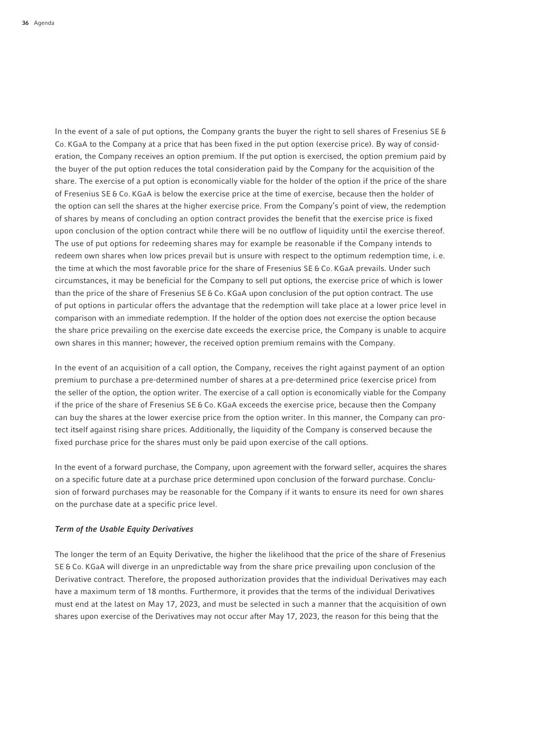In the event of a sale of put options, the Company grants the buyer the right to sell shares of Fresenius SE & Co. KGaA to the Company at a price that has been fixed in the put option (exercise price). By way of consideration, the Company receives an option premium. If the put option is exercised, the option premium paid by the buyer of the put option reduces the total consideration paid by the Company for the acquisition of the share. The exercise of a put option is economically viable for the holder of the option if the price of the share of Fresenius SE & Co. KGaA is below the exercise price at the time of exercise, because then the holder of the option can sell the shares at the higher exercise price. From the Company's point of view, the redemption of shares by means of concluding an option contract provides the benefit that the exercise price is fixed upon conclusion of the option contract while there will be no outflow of liquidity until the exercise thereof. The use of put options for redeeming shares may for example be reasonable if the Company intends to redeem own shares when low prices prevail but is unsure with respect to the optimum redemption time, i. e. the time at which the most favorable price for the share of Fresenius SE & Co. KGaA prevails. Under such circumstances, it may be beneficial for the Company to sell put options, the exercise price of which is lower than the price of the share of Fresenius SE & Co. KGaA upon conclusion of the put option contract. The use of put options in particular offers the advantage that the redemption will take place at a lower price level in comparison with an immediate redemption. If the holder of the option does not exercise the option because the share price prevailing on the exercise date exceeds the exercise price, the Company is unable to acquire own shares in this manner; however, the received option premium remains with the Company.

In the event of an acquisition of a call option, the Company, receives the right against payment of an option premium to purchase a pre-determined number of shares at a pre-determined price (exercise price) from the seller of the option, the option writer. The exercise of a call option is economically viable for the Company if the price of the share of Fresenius SE & Co. KGaA exceeds the exercise price, because then the Company can buy the shares at the lower exercise price from the option writer. In this manner, the Company can protect itself against rising share prices. Additionally, the liquidity of the Company is conserved because the fixed purchase price for the shares must only be paid upon exercise of the call options.

In the event of a forward purchase, the Company, upon agreement with the forward seller, acquires the shares on a specific future date at a purchase price determined upon conclusion of the forward purchase. Conclusion of forward purchases may be reasonable for the Company if it wants to ensure its need for own shares on the purchase date at a specific price level.

## *Term of the Usable Equity Derivatives*

The longer the term of an Equity Derivative, the higher the likelihood that the price of the share of Fresenius SE & Co. KGaA will diverge in an unpredictable way from the share price prevailing upon conclusion of the Derivative contract. Therefore, the proposed authorization provides that the individual Derivatives may each have a maximum term of 18 months. Furthermore, it provides that the terms of the individual Derivatives must end at the latest on May 17, 2023, and must be selected in such a manner that the acquisition of own shares upon exercise of the Derivatives may not occur after May 17, 2023, the reason for this being that the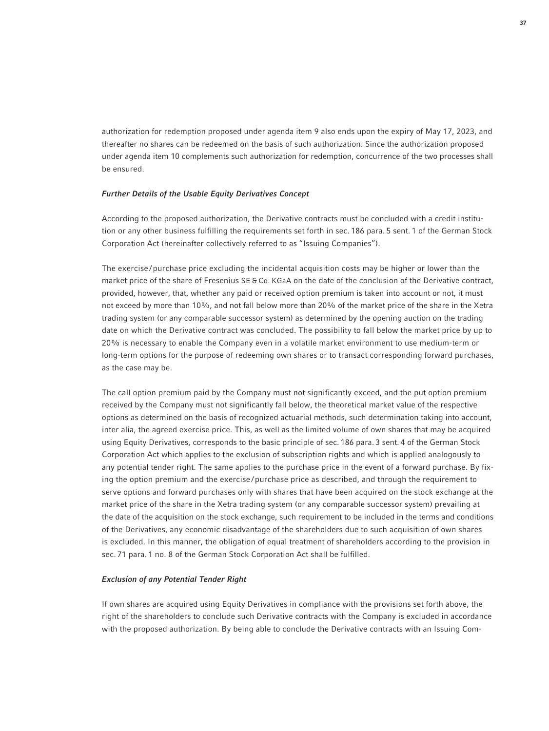authorization for redemption proposed under agenda item 9 also ends upon the expiry of May 17, 2023, and thereafter no shares can be redeemed on the basis of such authorization. Since the authorization proposed under agenda item 10 complements such authorization for redemption, concurrence of the two processes shall be ensured.

#### *Further Details of the Usable Equity Derivatives Concept*

According to the proposed authorization, the Derivative contracts must be concluded with a credit institution or any other business fulfilling the requirements set forth in sec. 186 para. 5 sent. 1 of the German Stock Corporation Act (hereinafter collectively referred to as "Issuing Companies").

The exercise /purchase price excluding the incidental acquisition costs may be higher or lower than the market price of the share of Fresenius SE & Co. KGaA on the date of the conclusion of the Derivative contract, provided, however, that, whether any paid or received option premium is taken into account or not, it must not exceed by more than 10%, and not fall below more than 20% of the market price of the share in the Xetra trading system (or any comparable successor system) as determined by the opening auction on the trading date on which the Derivative contract was concluded. The possibility to fall below the market price by up to 20% is necessary to enable the Company even in a volatile market environment to use medium-term or long-term options for the purpose of redeeming own shares or to transact corresponding forward purchases, as the case may be.

The call option premium paid by the Company must not significantly exceed, and the put option premium received by the Company must not significantly fall below, the theoretical market value of the respective options as determined on the basis of recognized actuarial methods, such determination taking into account, inter alia, the agreed exercise price. This, as well as the limited volume of own shares that may be acquired using Equity Derivatives, corresponds to the basic principle of sec. 186 para. 3 sent. 4 of the German Stock Corporation Act which applies to the exclusion of subscription rights and which is applied analogously to any potential tender right. The same applies to the purchase price in the event of a forward purchase. By fixing the option premium and the exercise /purchase price as described, and through the requirement to serve options and forward purchases only with shares that have been acquired on the stock exchange at the market price of the share in the Xetra trading system (or any comparable successor system) prevailing at the date of the acquisition on the stock exchange, such requirement to be included in the terms and conditions of the Derivatives, any economic disadvantage of the shareholders due to such acquisition of own shares is excluded. In this manner, the obligation of equal treatment of shareholders according to the provision in sec. 71 para. 1 no. 8 of the German Stock Corporation Act shall be fulfilled.

### *Exclusion of any Potential Tender Right*

If own shares are acquired using Equity Derivatives in compliance with the provisions set forth above, the right of the shareholders to conclude such Derivative contracts with the Company is excluded in accordance with the proposed authorization. By being able to conclude the Derivative contracts with an Issuing Com